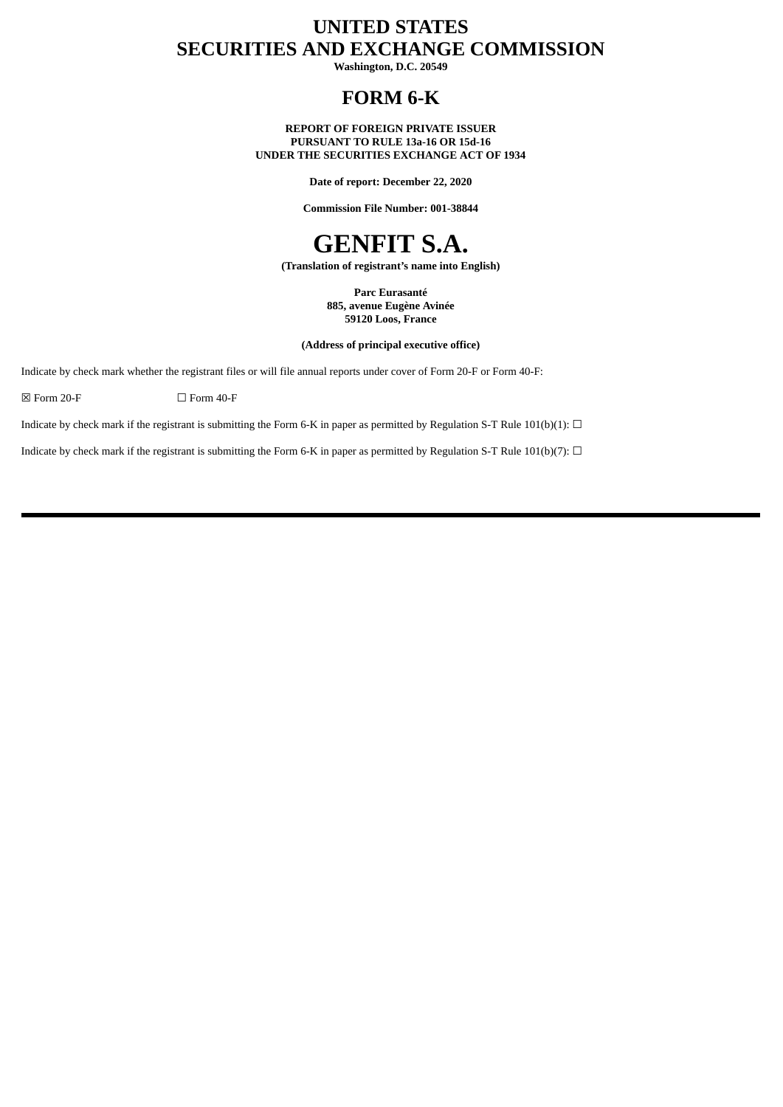### **UNITED STATES SECURITIES AND EXCHANGE COMMISSION**

**Washington, D.C. 20549**

### **FORM 6-K**

**REPORT OF FOREIGN PRIVATE ISSUER PURSUANT TO RULE 13a-16 OR 15d-16 UNDER THE SECURITIES EXCHANGE ACT OF 1934**

**Date of report: December 22, 2020**

**Commission File Number: 001-38844**

### **GENFIT S.A.**

**(Translation of registrant's name into English)**

**Parc Eurasanté 885, avenue Eugène Avinée 59120 Loos, France**

### **(Address of principal executive office)**

Indicate by check mark whether the registrant files or will file annual reports under cover of Form 20-F or Form 40-F:

 $\boxtimes$  Form 20-F  $\Box$  Form 40-F

Indicate by check mark if the registrant is submitting the Form 6-K in paper as permitted by Regulation S-T Rule 101(b)(1):  $\Box$ 

Indicate by check mark if the registrant is submitting the Form 6-K in paper as permitted by Regulation S-T Rule 101(b)(7):  $\Box$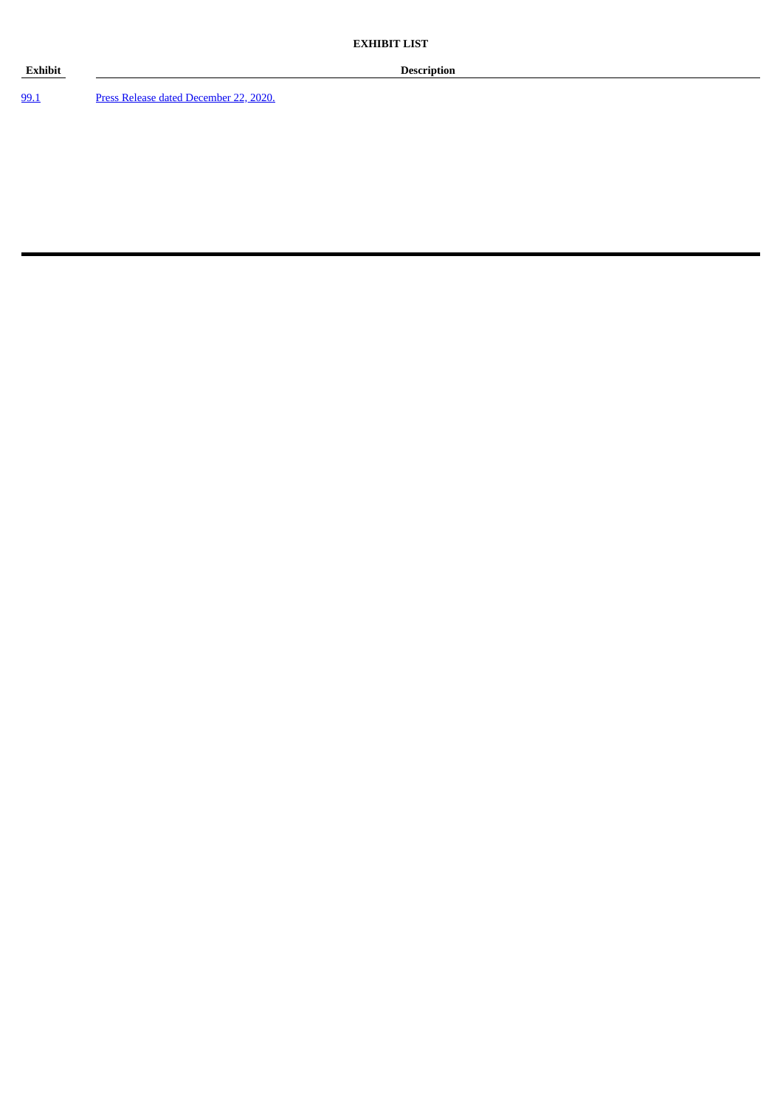[99.1](#page-3-0) Press Release dated [December](#page-3-0) 22, 2020.

**Exhibit Description**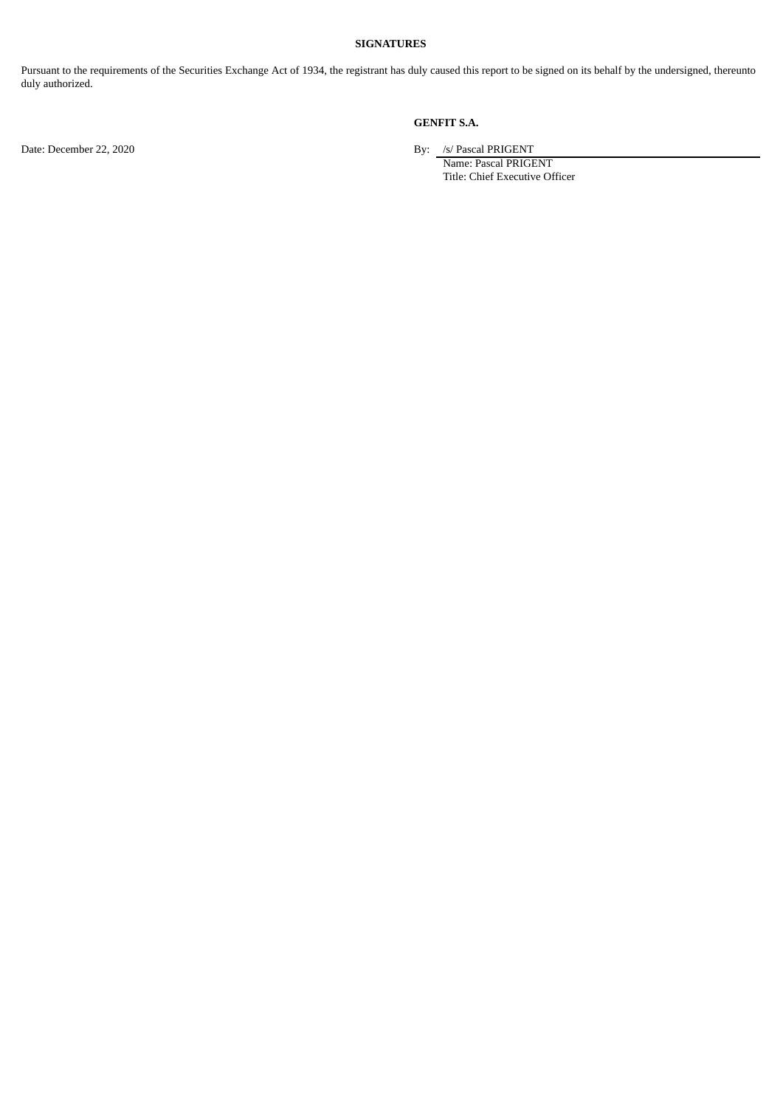### **SIGNATURES**

Pursuant to the requirements of the Securities Exchange Act of 1934, the registrant has duly caused this report to be signed on its behalf by the undersigned, thereunto duly authorized.

### **GENFIT S.A.**

Date: December 22, 2020 By: /s/ Pascal PRIGENT

Name: Pascal PRIGENT Title: Chief Executive Officer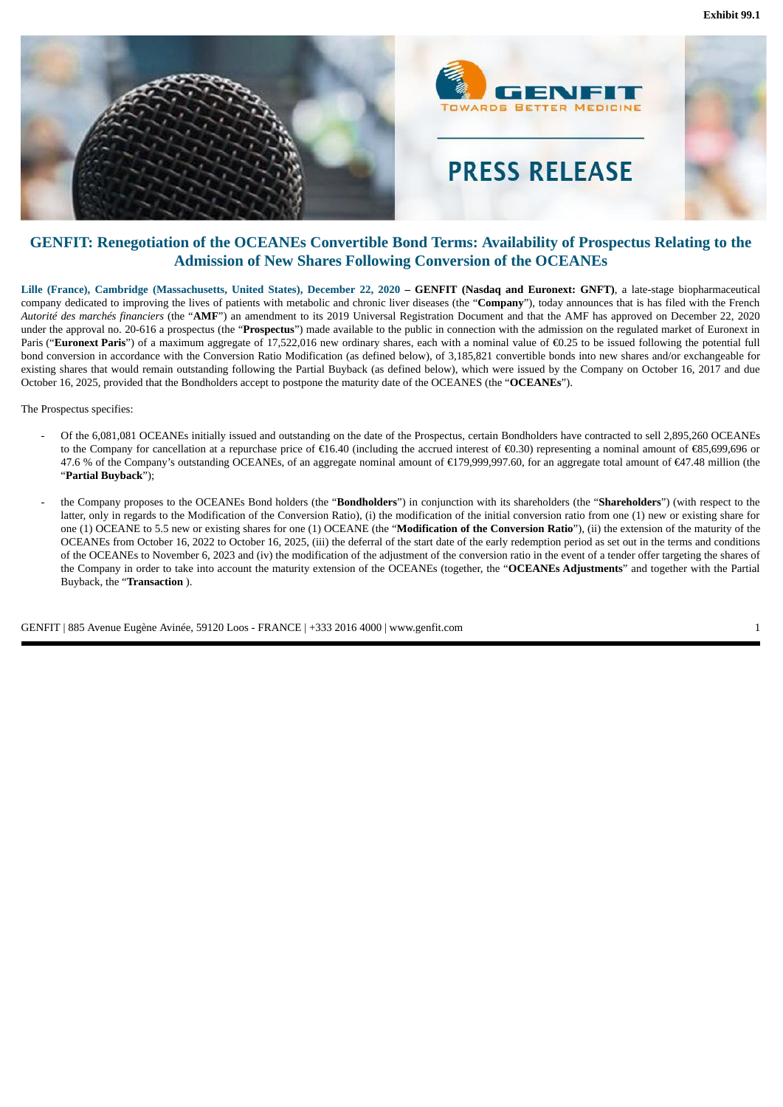**Exhibit 99.1**

<span id="page-3-0"></span>

### **GENFIT: Renegotiation of the OCEANEs Convertible Bond Terms: Availability of Prospectus Relating to the Admission of New Shares Following Conversion of the OCEANEs**

Lille (France), Cambridge (Massachusetts, United States), December 22, 2020 - GENFIT (Nasdaq and Euronext: GNFT), a late-stage biopharmaceutical company dedicated to improving the lives of patients with metabolic and chronic liver diseases (the "**Company**"), today announces that is has filed with the French *Autorité des marchés financiers* (the "**AMF**") an amendment to its 2019 Universal Registration Document and that the AMF has approved on December 22, 2020 under the approval no. 20-616 a prospectus (the "**Prospectus**") made available to the public in connection with the admission on the regulated market of Euronext in Paris ("**Euronext Paris**") of a maximum aggregate of 17,522,016 new ordinary shares, each with a nominal value of €0.25 to be issued following the potential full bond conversion in accordance with the Conversion Ratio Modification (as defined below), of 3,185,821 convertible bonds into new shares and/or exchangeable for existing shares that would remain outstanding following the Partial Buyback (as defined below), which were issued by the Company on October 16, 2017 and due October 16, 2025, provided that the Bondholders accept to postpone the maturity date of the OCEANES (the "**OCEANEs**").

The Prospectus specifies:

- Of the 6,081,081 OCEANEs initially issued and outstanding on the date of the Prospectus, certain Bondholders have contracted to sell 2,895,260 OCEANEs to the Company for cancellation at a repurchase price of €16.40 (including the accrued interest of €0.30) representing a nominal amount of €85,699,696 or 47.6 % of the Company's outstanding OCEANEs, of an aggregate nominal amount of €179,999,997.60, for an aggregate total amount of €47.48 million (the "**Partial Buyback**");
- the Company proposes to the OCEANEs Bond holders (the "**Bondholders**") in conjunction with its shareholders (the "**Shareholders**") (with respect to the latter, only in regards to the Modification of the Conversion Ratio), (i) the modification of the initial conversion ratio from one (1) new or existing share for one (1) OCEANE to 5.5 new or existing shares for one (1) OCEANE (the "**Modification of the Conversion Ratio**"), (ii) the extension of the maturity of the OCEANEs from October 16, 2022 to October 16, 2025, (iii) the deferral of the start date of the early redemption period as set out in the terms and conditions of the OCEANEs to November 6, 2023 and (iv) the modification of the adjustment of the conversion ratio in the event of a tender offer targeting the shares of the Company in order to take into account the maturity extension of the OCEANEs (together, the "**OCEANEs Adjustments**" and together with the Partial Buyback, the "**Transaction** ).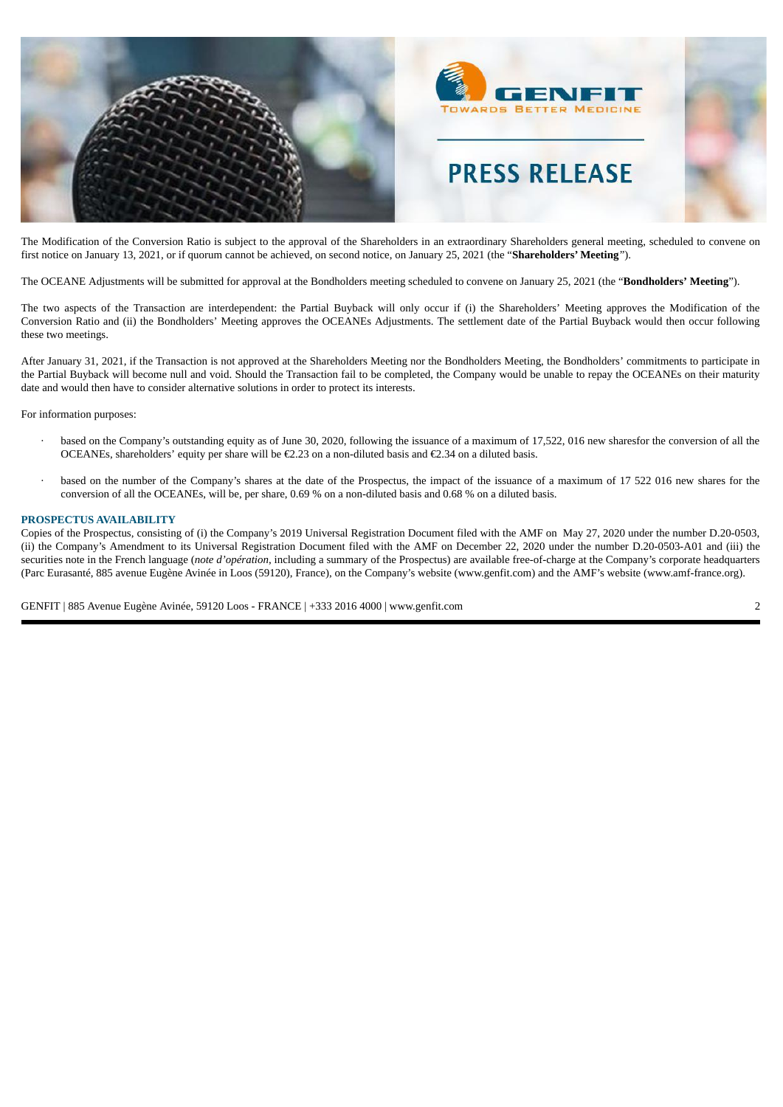

The Modification of the Conversion Ratio is subject to the approval of the Shareholders in an extraordinary Shareholders general meeting, scheduled to convene on first notice on January 13, 2021, or if quorum cannot be achieved, on second notice, on January 25, 2021 (the "**Shareholders' Meeting**").

The OCEANE Adjustments will be submitted for approval at the Bondholders meeting scheduled to convene on January 25, 2021 (the "**Bondholders' Meeting**").

The two aspects of the Transaction are interdependent: the Partial Buyback will only occur if (i) the Shareholders' Meeting approves the Modification of the Conversion Ratio and (ii) the Bondholders' Meeting approves the OCEANEs Adjustments. The settlement date of the Partial Buyback would then occur following these two meetings.

After January 31, 2021, if the Transaction is not approved at the Shareholders Meeting nor the Bondholders Meeting, the Bondholders' commitments to participate in the Partial Buyback will become null and void. Should the Transaction fail to be completed, the Company would be unable to repay the OCEANEs on their maturity date and would then have to consider alternative solutions in order to protect its interests.

For information purposes:

- based on the Company's outstanding equity as of June 30, 2020, following the issuance of a maximum of 17,522, 016 new sharesfor the conversion of all the OCEANEs, shareholders' equity per share will be €2.23 on a non-diluted basis and €2.34 on a diluted basis.
- based on the number of the Company's shares at the date of the Prospectus, the impact of the issuance of a maximum of 17 522 016 new shares for the conversion of all the OCEANEs, will be, per share, 0.69 % on a non-diluted basis and 0.68 % on a diluted basis.

#### **PROSPECTUS AVAILABILITY**

Copies of the Prospectus, consisting of (i) the Company's 2019 Universal Registration Document filed with the AMF on May 27, 2020 under the number D.20-0503, (ii) the Company's Amendment to its Universal Registration Document filed with the AMF on December 22, 2020 under the number D.20-0503-A01 and (iii) the securities note in the French language (*note d'opération*, including a summary of the Prospectus) are available free-of-charge at the Company's corporate headquarters (Parc Eurasanté, 885 avenue Eugène Avinée in Loos (59120), France), on the Company's website (www.genfit.com) and the AMF's website (www.amf-france.org).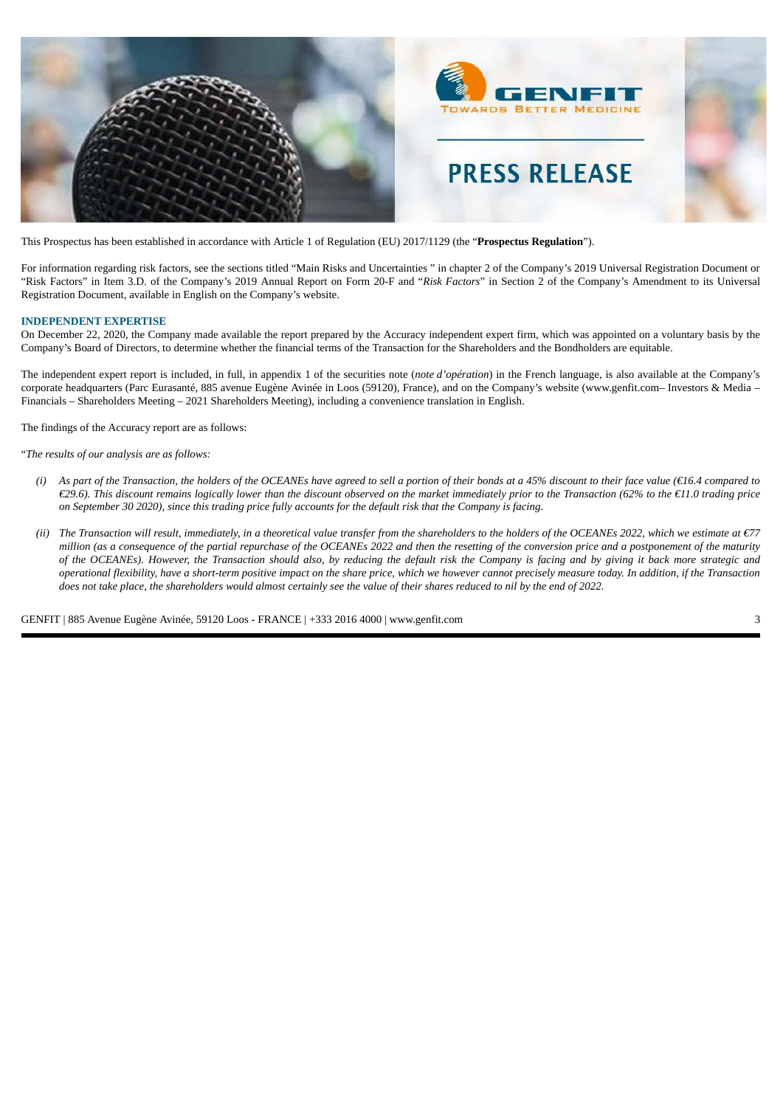

This Prospectus has been established in accordance with Article 1 of Regulation (EU) 2017/1129 (the "**Prospectus Regulation**").

For information regarding risk factors, see the sections titled "Main Risks and Uncertainties " in chapter 2 of the Company's 2019 Universal Registration Document or "Risk Factors" in Item 3.D. of the Company's 2019 Annual Report on Form 20-F and "*Risk Factors*" in Section 2 of the Company's Amendment to its Universal Registration Document, available in English on the Company's website.

### **INDEPENDENT EXPERTISE**

On December 22, 2020, the Company made available the report prepared by the Accuracy independent expert firm, which was appointed on a voluntary basis by the Company's Board of Directors, to determine whether the financial terms of the Transaction for the Shareholders and the Bondholders are equitable.

The independent expert report is included, in full, in appendix 1 of the securities note (*note d'opération*) in the French language, is also available at the Company's corporate headquarters (Parc Eurasanté, 885 avenue Eugène Avinée in Loos (59120), France), and on the Company's website (www.genfit.com– Investors & Media – Financials – Shareholders Meeting – 2021 Shareholders Meeting), including a convenience translation in English.

The findings of the Accuracy report are as follows:

"*The results of our analysis are as follows:*

- (i) As part of the Transaction, the holders of the OCEANEs have agreed to sell a portion of their bonds at a 45% discount to their face value (€16.4 compared to €29.6). This discount remains logically lower than the discount observed on the market immediately prior to the Transaction (62% to the €11.0 trading price on September 30 2020), since this trading price fully accounts for the default risk that the Company is facing.
- (ii) The Transaction will result, immediately, in a theoretical value transfer from the shareholders to the holders of the OCEANEs 2022, which we estimate at  $\epsilon$ 77 million (as a consequence of the partial repurchase of the OCEANEs 2022 and then the resetting of the conversion price and a postponement of the maturity of the OCEANEs). However, the Transaction should also, by reducing the default risk the Company is facing and by giving it back more strategic and operational flexibility, have a short-term positive impact on the share price, which we however cannot precisely measure today. In addition, if the Transaction does not take place, the shareholders would almost certainly see the value of their shares reduced to nil by the end of 2022.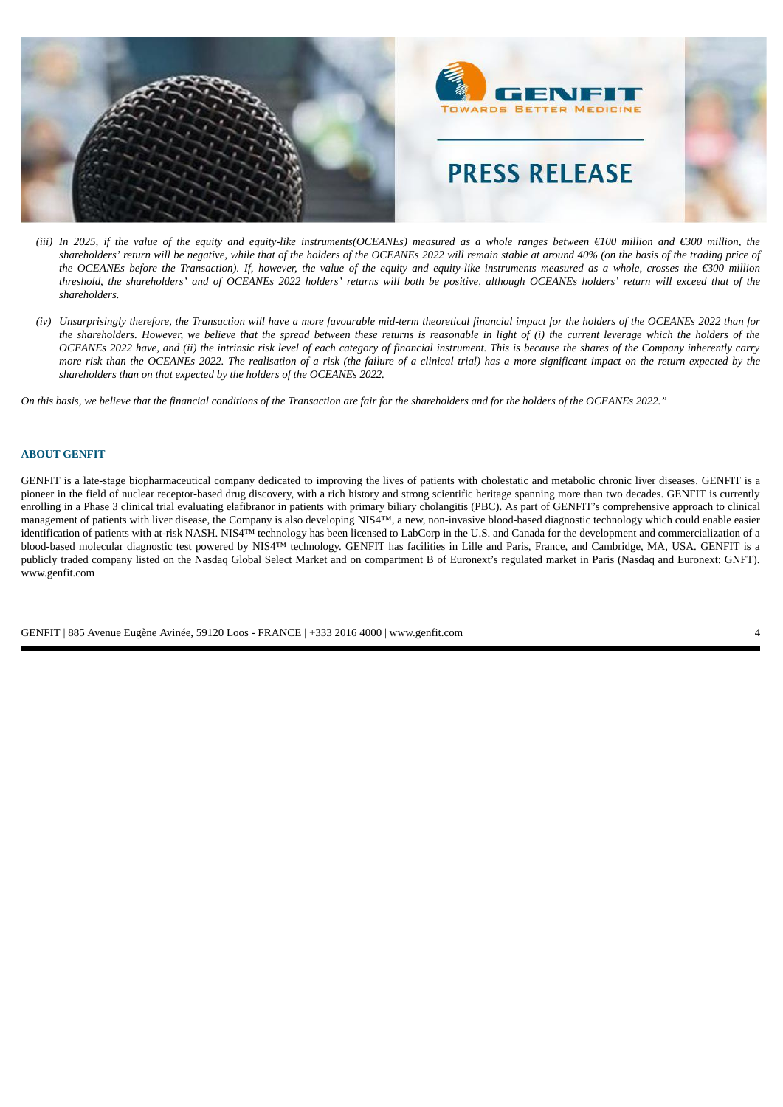![](_page_6_Picture_0.jpeg)

- (iii) In 2025, if the value of the equity and equity-like instruments(OCEANEs) measured as a whole ranges between €100 million and €300 million, the shareholders' return will be negative, while that of the holders of the OCEANEs 2022 will remain stable at around 40% (on the basis of the trading price of the OCEANEs before the Transaction). If, however, the value of the equity and equity-like instruments measured as a whole, crosses the  $\epsilon$ 300 million threshold, the shareholders' and of OCEANEs 2022 holders' returns will both be positive, although OCEANEs holders' return will exceed that of the *shareholders.*
- (iv) Unsurprisingly therefore, the Transaction will have a more favourable mid-term theoretical financial impact for the holders of the OCEANEs 2022 than for the shareholders. However, we believe that the spread between these returns is reasonable in light of (i) the current leverage which the holders of the OCEANEs 2022 have, and (ii) the intrinsic risk level of each category of financial instrument. This is because the shares of the Company inherently carry more risk than the OCEANEs 2022. The realisation of a risk (the failure of a clinical trial) has a more significant impact on the return expected by the *shareholders than on that expected by the holders of the OCEANEs 2022.*

On this basis, we believe that the financial conditions of the Transaction are fair for the shareholders and for the holders of the OCEANEs 2022."

### **ABOUT GENFIT**

GENFIT is a late-stage biopharmaceutical company dedicated to improving the lives of patients with cholestatic and metabolic chronic liver diseases. GENFIT is a pioneer in the field of nuclear receptor-based drug discovery, with a rich history and strong scientific heritage spanning more than two decades. GENFIT is currently enrolling in a Phase 3 clinical trial evaluating elafibranor in patients with primary biliary cholangitis (PBC). As part of GENFIT's comprehensive approach to clinical management of patients with liver disease, the Company is also developing NIS4™, a new, non-invasive blood-based diagnostic technology which could enable easier identification of patients with at-risk NASH. NIS4™ technology has been licensed to LabCorp in the U.S. and Canada for the development and commercialization of a blood-based molecular diagnostic test powered by NIS4™ technology. GENFIT has facilities in Lille and Paris, France, and Cambridge, MA, USA. GENFIT is a publicly traded company listed on the Nasdaq Global Select Market and on compartment B of Euronext's regulated market in Paris (Nasdaq and Euronext: GNFT). www.genfit.com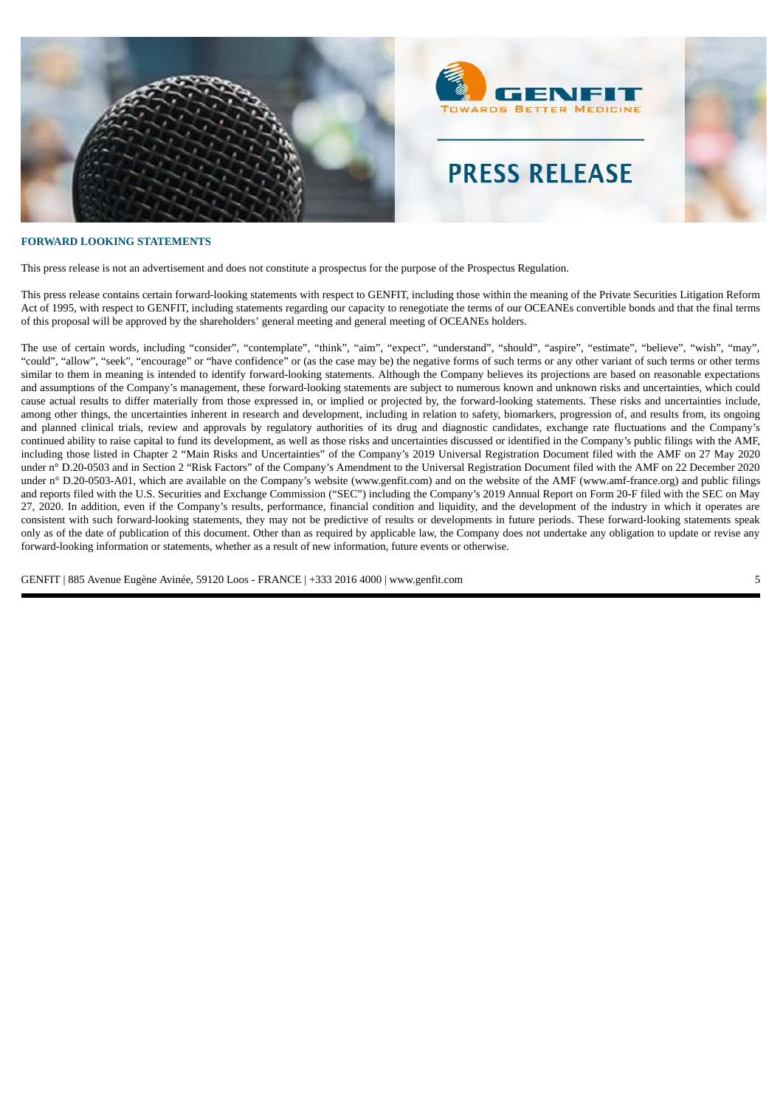![](_page_7_Picture_0.jpeg)

#### **FORWARD LOOKING STATEMENTS**

This press release is not an advertisement and does not constitute a prospectus for the purpose of the Prospectus Regulation.

This press release contains certain forward-looking statements with respect to GENFIT, including those within the meaning of the Private Securities Litigation Reform Act of 1995, with respect to GENFIT, including statements regarding our capacity to renegotiate the terms of our OCEANEs convertible bonds and that the final terms of this proposal will be approved by the shareholders' general meeting and general meeting of OCEANEs holders.

The use of certain words, including "consider", "contemplate", "think", "aim", "expect", "understand", "should", "aspire", "estimate", "believe", "wish", "may", "could", "allow", "seek", "encourage" or "have confidence" or (as the case may be) the negative forms of such terms or any other variant of such terms or other terms similar to them in meaning is intended to identify forward-looking statements. Although the Company believes its projections are based on reasonable expectations and assumptions of the Company's management, these forward-looking statements are subject to numerous known and unknown risks and uncertainties, which could cause actual results to differ materially from those expressed in, or implied or projected by, the forward-looking statements. These risks and uncertainties include, among other things, the uncertainties inherent in research and development, including in relation to safety, biomarkers, progression of, and results from, its ongoing and planned clinical trials, review and approvals by regulatory authorities of its drug and diagnostic candidates, exchange rate fluctuations and the Company's continued ability to raise capital to fund its development, as well as those risks and uncertainties discussed or identified in the Company's public filings with the AMF, including those listed in Chapter 2 "Main Risks and Uncertainties" of the Company's 2019 Universal Registration Document filed with the AMF on 27 May 2020 under n° D.20-0503 and in Section 2 "Risk Factors" of the Company's Amendment to the Universal Registration Document filed with the AMF on 22 December 2020 under n° D.20-0503-A01, which are available on the Company's website (www.genfit.com) and on the website of the AMF (www.amf-france.org) and public filings and reports filed with the U.S. Securities and Exchange Commission ("SEC") including the Company's 2019 Annual Report on Form 20-F filed with the SEC on May 27, 2020. In addition, even if the Company's results, performance, financial condition and liquidity, and the development of the industry in which it operates are consistent with such forward-looking statements, they may not be predictive of results or developments in future periods. These forward-looking statements speak only as of the date of publication of this document. Other than as required by applicable law, the Company does not undertake any obligation to update or revise any forward-looking information or statements, whether as a result of new information, future events or otherwise.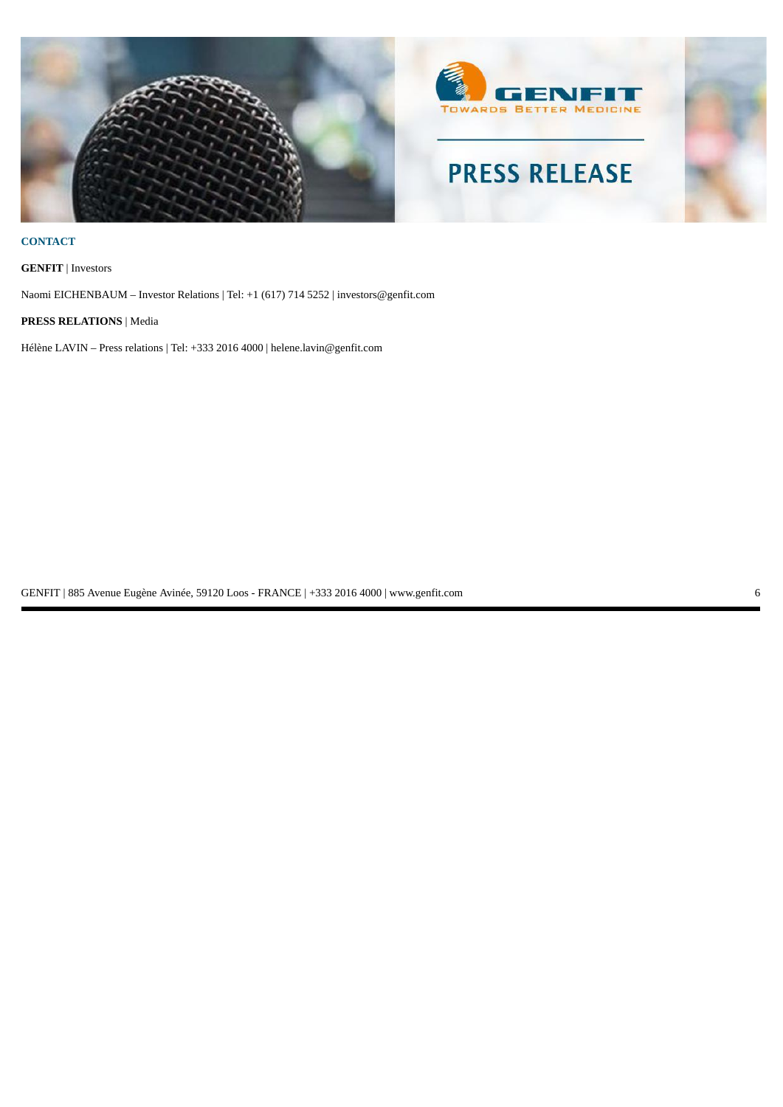![](_page_8_Picture_0.jpeg)

### **CONTACT**

**GENFIT** | Investors

Naomi EICHENBAUM – Investor Relations | Tel: +1 (617) 714 5252 | investors@genfit.com

### **PRESS RELATIONS** | Media

Hélène LAVIN – Press relations | Tel: +333 2016 4000 | helene.lavin@genfit.com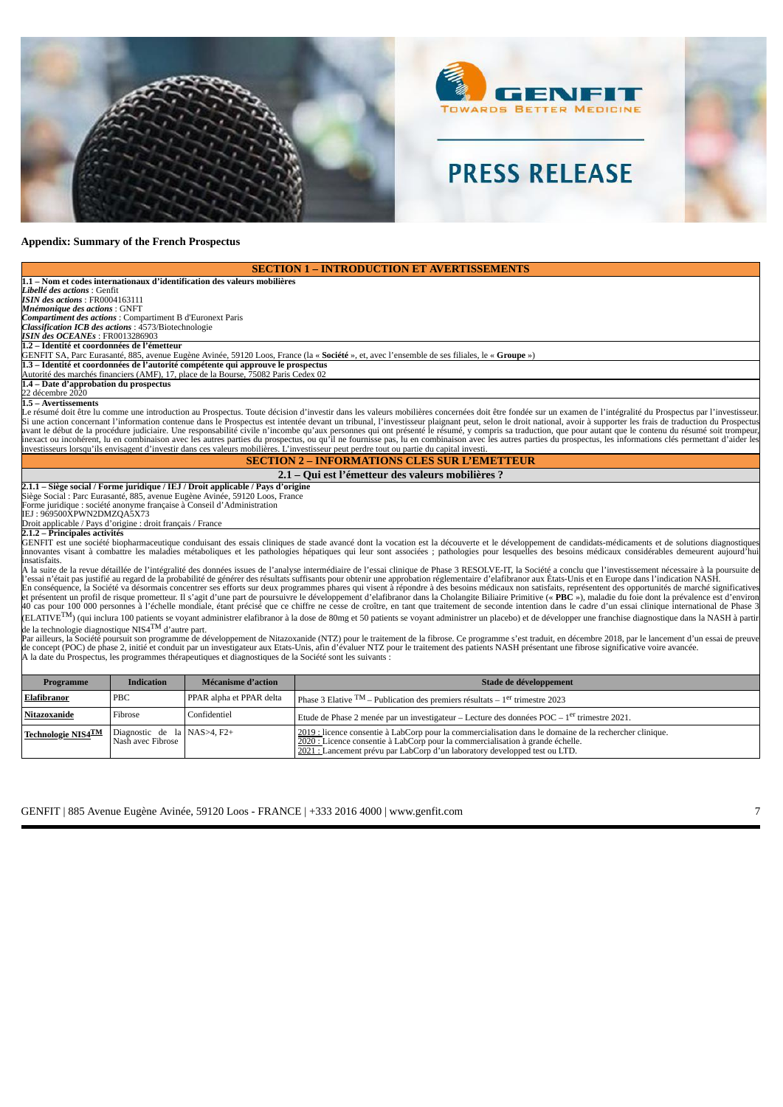![](_page_9_Picture_0.jpeg)

### **Appendix: Summary of the French Prospectus**

|                                                                                                                                                                                                                                                                                                                                                                                                                                    |                                                                                                                                                                                                                                                                                                                                                                                                                                                                                                                                                                                                                                                                                                                                                                                                                                                                                                                                                                                                                         |                                                                                                                                                                          | <b>SECTION 1 - INTRODUCTION ET AVERTISSEMENTS</b>                                                                                                                                                                |  |  |  |  |  |
|------------------------------------------------------------------------------------------------------------------------------------------------------------------------------------------------------------------------------------------------------------------------------------------------------------------------------------------------------------------------------------------------------------------------------------|-------------------------------------------------------------------------------------------------------------------------------------------------------------------------------------------------------------------------------------------------------------------------------------------------------------------------------------------------------------------------------------------------------------------------------------------------------------------------------------------------------------------------------------------------------------------------------------------------------------------------------------------------------------------------------------------------------------------------------------------------------------------------------------------------------------------------------------------------------------------------------------------------------------------------------------------------------------------------------------------------------------------------|--------------------------------------------------------------------------------------------------------------------------------------------------------------------------|------------------------------------------------------------------------------------------------------------------------------------------------------------------------------------------------------------------|--|--|--|--|--|
|                                                                                                                                                                                                                                                                                                                                                                                                                                    |                                                                                                                                                                                                                                                                                                                                                                                                                                                                                                                                                                                                                                                                                                                                                                                                                                                                                                                                                                                                                         | 1.1 – Nom et codes internationaux d'identification des valeurs mobilières                                                                                                |                                                                                                                                                                                                                  |  |  |  |  |  |
|                                                                                                                                                                                                                                                                                                                                                                                                                                    | <b>Libellé des actions : Genfit</b>                                                                                                                                                                                                                                                                                                                                                                                                                                                                                                                                                                                                                                                                                                                                                                                                                                                                                                                                                                                     |                                                                                                                                                                          |                                                                                                                                                                                                                  |  |  |  |  |  |
|                                                                                                                                                                                                                                                                                                                                                                                                                                    | <b>ISIN des actions: FR0004163111</b><br>Mnémonique des actions : GNFT                                                                                                                                                                                                                                                                                                                                                                                                                                                                                                                                                                                                                                                                                                                                                                                                                                                                                                                                                  |                                                                                                                                                                          |                                                                                                                                                                                                                  |  |  |  |  |  |
|                                                                                                                                                                                                                                                                                                                                                                                                                                    | <b>Compartiment des actions: Compartiment B d'Euronext Paris</b>                                                                                                                                                                                                                                                                                                                                                                                                                                                                                                                                                                                                                                                                                                                                                                                                                                                                                                                                                        |                                                                                                                                                                          |                                                                                                                                                                                                                  |  |  |  |  |  |
|                                                                                                                                                                                                                                                                                                                                                                                                                                    | Classification ICB des actions : 4573/Biotechnologie                                                                                                                                                                                                                                                                                                                                                                                                                                                                                                                                                                                                                                                                                                                                                                                                                                                                                                                                                                    |                                                                                                                                                                          |                                                                                                                                                                                                                  |  |  |  |  |  |
| ISIN des OCEANEs: FR0013286903                                                                                                                                                                                                                                                                                                                                                                                                     |                                                                                                                                                                                                                                                                                                                                                                                                                                                                                                                                                                                                                                                                                                                                                                                                                                                                                                                                                                                                                         |                                                                                                                                                                          |                                                                                                                                                                                                                  |  |  |  |  |  |
|                                                                                                                                                                                                                                                                                                                                                                                                                                    | 1.2 – Identité et coordonnées de l'émetteur                                                                                                                                                                                                                                                                                                                                                                                                                                                                                                                                                                                                                                                                                                                                                                                                                                                                                                                                                                             |                                                                                                                                                                          |                                                                                                                                                                                                                  |  |  |  |  |  |
|                                                                                                                                                                                                                                                                                                                                                                                                                                    |                                                                                                                                                                                                                                                                                                                                                                                                                                                                                                                                                                                                                                                                                                                                                                                                                                                                                                                                                                                                                         |                                                                                                                                                                          | GENFIT SA, Parc Eurasanté, 885, avenue Eugène Avinée, 59120 Loos, France (la « Société », et, avec l'ensemble de ses filiales, le « Groupe »)                                                                    |  |  |  |  |  |
|                                                                                                                                                                                                                                                                                                                                                                                                                                    |                                                                                                                                                                                                                                                                                                                                                                                                                                                                                                                                                                                                                                                                                                                                                                                                                                                                                                                                                                                                                         | 1.3 – Identité et coordonnées de l'autorité compétente qui approuve le prospectus<br>Autorité des marchés financiers (AMF), 17, place de la Bourse, 75082 Paris Cedex 02 |                                                                                                                                                                                                                  |  |  |  |  |  |
| 1.4 - Date d'approbation du prospectus<br>22 décembre 2020                                                                                                                                                                                                                                                                                                                                                                         |                                                                                                                                                                                                                                                                                                                                                                                                                                                                                                                                                                                                                                                                                                                                                                                                                                                                                                                                                                                                                         |                                                                                                                                                                          |                                                                                                                                                                                                                  |  |  |  |  |  |
| 1.5 - Avertissements                                                                                                                                                                                                                                                                                                                                                                                                               |                                                                                                                                                                                                                                                                                                                                                                                                                                                                                                                                                                                                                                                                                                                                                                                                                                                                                                                                                                                                                         |                                                                                                                                                                          |                                                                                                                                                                                                                  |  |  |  |  |  |
|                                                                                                                                                                                                                                                                                                                                                                                                                                    | Le résumé doit être lu comme une introduction au Prospectus. Toute décision d'investir dans les valeurs mobilières concernées doit être fondée sur un examen de l'intégralité du Prospectus par l'investisseur.<br>Si une action concernant l'information contenue dans le Prospectus est intentée devant un tribunal, l'investisseur plaignant peut, selon le droit national, avoir à supporter les frais de traduction du Prospectus<br>avant le début de la procédure judiciaire. Une responsabilité civile n'incombe qu'aux personnes qui ont présenté le résumé, y compris sa traduction, que pour autant que le contenu du résumé soit trompeur,<br>inexact ou incohérent, lu en combinaison avec les autres parties du prospectus, ou qu'il ne fournisse pas, lu en combinaison avec les autres parties du prospectus, les informations clés permettant d'aider les<br>investisseurs lorsqu'ils envisagent d'investir dans ces valeurs mobilières. L'investisseur peut perdre tout ou partie du capital investi. |                                                                                                                                                                          |                                                                                                                                                                                                                  |  |  |  |  |  |
|                                                                                                                                                                                                                                                                                                                                                                                                                                    |                                                                                                                                                                                                                                                                                                                                                                                                                                                                                                                                                                                                                                                                                                                                                                                                                                                                                                                                                                                                                         |                                                                                                                                                                          | <b>SECTION 2 - INFORMATIONS CLES SUR L'EMETTEUR</b>                                                                                                                                                              |  |  |  |  |  |
|                                                                                                                                                                                                                                                                                                                                                                                                                                    |                                                                                                                                                                                                                                                                                                                                                                                                                                                                                                                                                                                                                                                                                                                                                                                                                                                                                                                                                                                                                         |                                                                                                                                                                          | 2.1 – Qui est l'émetteur des valeurs mobilières ?                                                                                                                                                                |  |  |  |  |  |
| 2.1.1 – Siège social / Forme juridique / IEJ / Droit applicable / Pays d'origine                                                                                                                                                                                                                                                                                                                                                   |                                                                                                                                                                                                                                                                                                                                                                                                                                                                                                                                                                                                                                                                                                                                                                                                                                                                                                                                                                                                                         |                                                                                                                                                                          |                                                                                                                                                                                                                  |  |  |  |  |  |
|                                                                                                                                                                                                                                                                                                                                                                                                                                    |                                                                                                                                                                                                                                                                                                                                                                                                                                                                                                                                                                                                                                                                                                                                                                                                                                                                                                                                                                                                                         | Siège Social : Parc Eurasanté, 885, avenue Eugène Avinée, 59120 Loos, France                                                                                             |                                                                                                                                                                                                                  |  |  |  |  |  |
|                                                                                                                                                                                                                                                                                                                                                                                                                                    |                                                                                                                                                                                                                                                                                                                                                                                                                                                                                                                                                                                                                                                                                                                                                                                                                                                                                                                                                                                                                         | Forme juridique : société anonyme française à Conseil d'Administration                                                                                                   |                                                                                                                                                                                                                  |  |  |  |  |  |
| IEJ: 969500XPWN2DMZOA5X73<br>Droit applicable / Pays d'origine : droit français / France                                                                                                                                                                                                                                                                                                                                           |                                                                                                                                                                                                                                                                                                                                                                                                                                                                                                                                                                                                                                                                                                                                                                                                                                                                                                                                                                                                                         |                                                                                                                                                                          |                                                                                                                                                                                                                  |  |  |  |  |  |
| 2.1.2 - Principales activités                                                                                                                                                                                                                                                                                                                                                                                                      |                                                                                                                                                                                                                                                                                                                                                                                                                                                                                                                                                                                                                                                                                                                                                                                                                                                                                                                                                                                                                         |                                                                                                                                                                          |                                                                                                                                                                                                                  |  |  |  |  |  |
|                                                                                                                                                                                                                                                                                                                                                                                                                                    |                                                                                                                                                                                                                                                                                                                                                                                                                                                                                                                                                                                                                                                                                                                                                                                                                                                                                                                                                                                                                         |                                                                                                                                                                          | GENFIT est une société biopharmaceutique conduisant des essais cliniques de stade avancé dont la vocation est la découverte et le développement de candidats-médicaments et de solutions diagnostiques           |  |  |  |  |  |
|                                                                                                                                                                                                                                                                                                                                                                                                                                    |                                                                                                                                                                                                                                                                                                                                                                                                                                                                                                                                                                                                                                                                                                                                                                                                                                                                                                                                                                                                                         |                                                                                                                                                                          | innovantes visant à combattre les maladies métaboliques et les pathologies hépatiques qui leur sont associées; pathologies pour lesquelles des besoins médicaux considérables demeurent aujourd'hui              |  |  |  |  |  |
| insatisfaits.                                                                                                                                                                                                                                                                                                                                                                                                                      |                                                                                                                                                                                                                                                                                                                                                                                                                                                                                                                                                                                                                                                                                                                                                                                                                                                                                                                                                                                                                         |                                                                                                                                                                          |                                                                                                                                                                                                                  |  |  |  |  |  |
|                                                                                                                                                                                                                                                                                                                                                                                                                                    |                                                                                                                                                                                                                                                                                                                                                                                                                                                                                                                                                                                                                                                                                                                                                                                                                                                                                                                                                                                                                         |                                                                                                                                                                          | A la suite de la revue détaillée de l'intégralité des données issues de l'analyse intermédiaire de l'essai clinique de Phase 3 RESOLVE-IT, la Société a conclu que l'investissement nécessaire à la poursuite de |  |  |  |  |  |
|                                                                                                                                                                                                                                                                                                                                                                                                                                    |                                                                                                                                                                                                                                                                                                                                                                                                                                                                                                                                                                                                                                                                                                                                                                                                                                                                                                                                                                                                                         |                                                                                                                                                                          | l'essai n'était pas justifié au regard de la probabilité de générer des résultats suffisants pour obtenir une approbation réglementaire d'elafibranor aux États-Unis et en Europe dans l'indication NASH.        |  |  |  |  |  |
| En conséquence, la Société va désormais concentrer ses efforts sur deux programmes phares qui visent à répondre à des besoins médicaux non satisfaits, représentent des opportunités de marché significatives<br>et présentent un profil de risque prometteur. Il s'agit d'une part de poursuivre le développement d'elafibranor dans la Cholangite Biliaire Primitive (« PBC »), maladie du foie dont la prévalence est d'environ |                                                                                                                                                                                                                                                                                                                                                                                                                                                                                                                                                                                                                                                                                                                                                                                                                                                                                                                                                                                                                         |                                                                                                                                                                          |                                                                                                                                                                                                                  |  |  |  |  |  |
| 40 cas pour 100 000 personnes à l'échelle mondiale, étant précisé que ce chiffre ne cesse de croître, en tant que traitement de seconde intention dans le cadre d'un essai clinique international de Phase 3                                                                                                                                                                                                                       |                                                                                                                                                                                                                                                                                                                                                                                                                                                                                                                                                                                                                                                                                                                                                                                                                                                                                                                                                                                                                         |                                                                                                                                                                          |                                                                                                                                                                                                                  |  |  |  |  |  |
| (ELATIVE™) (qui inclura 100 patients se voyant administrer elafibranor à la dose de 80mg et 50 patients se voyant administrer un placebo) et de développer une franchise diagnostique dans la NASH à partir                                                                                                                                                                                                                        |                                                                                                                                                                                                                                                                                                                                                                                                                                                                                                                                                                                                                                                                                                                                                                                                                                                                                                                                                                                                                         |                                                                                                                                                                          |                                                                                                                                                                                                                  |  |  |  |  |  |
| de la technologie diagnostique NIS4 <sup>TM</sup> d'autre part.                                                                                                                                                                                                                                                                                                                                                                    |                                                                                                                                                                                                                                                                                                                                                                                                                                                                                                                                                                                                                                                                                                                                                                                                                                                                                                                                                                                                                         |                                                                                                                                                                          |                                                                                                                                                                                                                  |  |  |  |  |  |
| Par ailleurs, la Société poursuit son programme de développement de Nitazoxanide (NTZ) pour le traitement de la fibrose. Ce programme s'est traduit, en décembre 2018, par le lancement d'un essai de preuve                                                                                                                                                                                                                       |                                                                                                                                                                                                                                                                                                                                                                                                                                                                                                                                                                                                                                                                                                                                                                                                                                                                                                                                                                                                                         |                                                                                                                                                                          |                                                                                                                                                                                                                  |  |  |  |  |  |
| de concept (POC) de phase 2, initié et conduit par un investigateur aux Etats-Unis, afin d'évaluer NTZ pour le traitement des patients NASH présentant une fibrose significative voire avancée.                                                                                                                                                                                                                                    |                                                                                                                                                                                                                                                                                                                                                                                                                                                                                                                                                                                                                                                                                                                                                                                                                                                                                                                                                                                                                         |                                                                                                                                                                          |                                                                                                                                                                                                                  |  |  |  |  |  |
| A la date du Prospectus, les programmes thérapeutiques et diagnostiques de la Société sont les suivants :                                                                                                                                                                                                                                                                                                                          |                                                                                                                                                                                                                                                                                                                                                                                                                                                                                                                                                                                                                                                                                                                                                                                                                                                                                                                                                                                                                         |                                                                                                                                                                          |                                                                                                                                                                                                                  |  |  |  |  |  |
|                                                                                                                                                                                                                                                                                                                                                                                                                                    |                                                                                                                                                                                                                                                                                                                                                                                                                                                                                                                                                                                                                                                                                                                                                                                                                                                                                                                                                                                                                         |                                                                                                                                                                          |                                                                                                                                                                                                                  |  |  |  |  |  |
| Programme                                                                                                                                                                                                                                                                                                                                                                                                                          | <b>Indication</b>                                                                                                                                                                                                                                                                                                                                                                                                                                                                                                                                                                                                                                                                                                                                                                                                                                                                                                                                                                                                       | Mécanisme d'action                                                                                                                                                       | Stade de développement                                                                                                                                                                                           |  |  |  |  |  |
| Elafibranor                                                                                                                                                                                                                                                                                                                                                                                                                        | PBC                                                                                                                                                                                                                                                                                                                                                                                                                                                                                                                                                                                                                                                                                                                                                                                                                                                                                                                                                                                                                     | PPAR alpha et PPAR delta                                                                                                                                                 | Phase 3 Elative $TM$ – Publication des premiers résultats – 1 <sup>er</sup> trimestre 2023                                                                                                                       |  |  |  |  |  |

| <b>EXPERIENCE</b>              | .                                                  | t the upon certification | $\mu$ Phase 5 Elauve $\cdots$ – Publication des premiers resultats – $\iota$ – trimestre 2025                                                                                                                                                                            |
|--------------------------------|----------------------------------------------------|--------------------------|--------------------------------------------------------------------------------------------------------------------------------------------------------------------------------------------------------------------------------------------------------------------------|
| Nitazoxanide                   | Fibrose                                            | Confidentiel             | Etude de Phase 2 menée par un investigateur – Lecture des données $POC - 1er$ trimestre 2021.                                                                                                                                                                            |
| Technologie NIS4 <sup>TM</sup> | Diagnostic de la $NAS>4, F2+$<br>Nash avec Fibrose |                          | 2019 : licence consentie à LabCorp pour la commercialisation dans le domaine de la rechercher clinique.<br>2020 : Licence consentie à LabCorp pour la commercialisation à grande échelle.<br>[2021 : Lancement prévu par LabCorp d'un laboratory developped test ou LTD. |

| GENFIT   885 Avenue Eugène Avinée, 59120 Loos - FRANCE   +333 2016 4000   www.genfit.com |  |  |
|------------------------------------------------------------------------------------------|--|--|
|                                                                                          |  |  |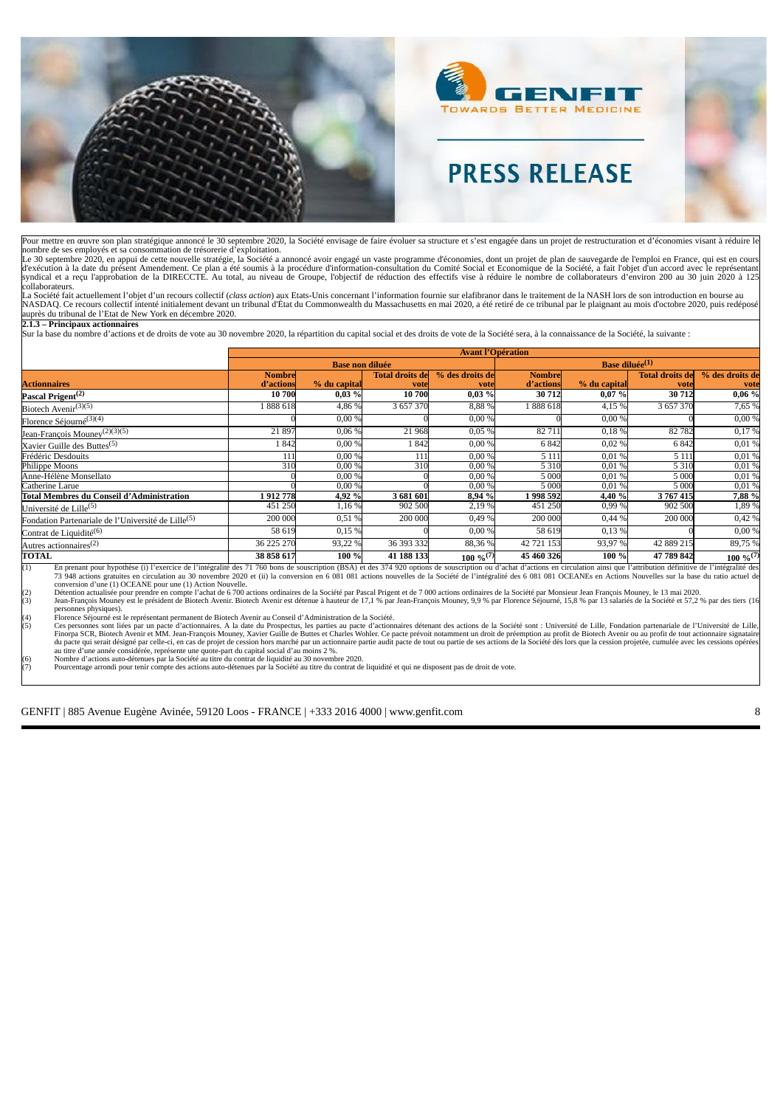![](_page_10_Picture_0.jpeg)

![](_page_10_Picture_1.jpeg)

Pour mettre en œuvre son plan stratégique annoncé le 30 septembre 2020, la Société envisage de faire évoluer sa structure et s'est engagée dans un projet de restructuration et d'économies visant à réduire le nombre de ses employés et sa consommation de trésorerie d'exploitation.

Le 30 septembre 2020, en appui de cette nouvelle stratégie, la Société a annoncé avoir engagé un vaste programme d'économies, dont un projet de plan de sauvegarde de l'emploi en France, qui est en cours<br>d'exécution à la da collaborateurs.

La Société fait actuellement l'objet d'un recours collectif (*class action*) aux Etats-Unis concernant l'information fournie sur elafibranor dans le traitement de la NASH lors de son introduction en bourse au NASDAQ. Ce recours collectif intenté initialement devant un tribunal d'État du Commonwealth du Massachusetts en mai 2020, a été retiré de ce tribunal par le plaignant au mois d'octobre 2020, puis redéposé<br>auprès du tribuna

**2.1.3 – Principaux actionnaires**

Sur la base du nombre d'actions et de droits de vote au 30 novembre 2020, la répartition du capital social et des droits de vote de la Société sera, à la connaissance de la Société, la suivante :

|                                                                | <b>Avant l'Opération</b> |              |                         |                 |                            |              |                         |                 |
|----------------------------------------------------------------|--------------------------|--------------|-------------------------|-----------------|----------------------------|--------------|-------------------------|-----------------|
|                                                                | <b>Base non diluée</b>   |              |                         |                 | Base diluée <sup>(1)</sup> |              |                         |                 |
|                                                                | <b>Nombre</b>            |              | <b>Total droits del</b> | % des droits de | <b>Nombre</b>              |              | <b>Total droits del</b> | % des droits de |
| <b>Actionnaires</b>                                            | d'actions                | % du capital | vote                    | vote            | d'actions                  | % du capital | vote                    | vote            |
| Pascal Prigent <sup>(2)</sup>                                  | 10 700                   | 0.03%        | 10 700                  | 0.03%           | 30 712                     | 0,07%        | 30712                   | 0,06%           |
| Biotech Avenir <sup>(3)(5)</sup>                               | 1888 618                 | 4,86 %       | 3657370                 | 8,88 %          | 1888618                    | 4,15 %       | 3657370                 | 7,65 %          |
| Florence Séjourné <sup>(3)(4)</sup>                            |                          | 0,00%        |                         | 0,00%           |                            | 0,00%        |                         | 0,00%           |
| Jean-François Mouney <sup>(2)(3)(5)</sup>                      | 21897                    | 0,06 %       | 21 968                  | 0,05%           | 82 711                     | 0,18 %       | 82782                   | 0,17%           |
| Xavier Guille des Buttes <sup>(5)</sup>                        | 1842                     | 0,00%        | 1842                    | 0,00%           | 6842                       | 0,02%        | 6842                    | 0,01%           |
| Frédéric Desdouits                                             | 111                      | 0,00%        | 111                     | 0,00%           | 5 1 1 1                    | 0.01%        | 5 1 1 1                 | 0.01%           |
| Philippe Moons                                                 | 310                      | 0,00%        | 310                     | 0,00%           | 5 3 1 0                    | 0,01%        | 5 3 1 0                 | 0,01%           |
| Anne-Hélène Monsellato                                         |                          | 0,00%        |                         | 0,00%           | 5 0 0 0                    | 0,01%        | 5 0 0 0                 | 0,01%           |
| Catherine Larue                                                |                          | 0,00%        |                         | 0,00%           | 5 0 0 0                    | 0.01%        | 5 0 0 0                 | 0.01%           |
| Total Membres du Conseil d'Administration                      | 1912778                  | 4,92 %       | 3681601                 | 8,94 %          | 1998592                    | 4,40 %       | 3767415                 | 7,88 %          |
| Université de Lille <sup>(5)</sup>                             | 451 250                  | 1,16 %       | 902 500                 | 2,19 %          | 451 250                    | 0,99 %       | 902 500                 | 1,89 %          |
| Fondation Partenariale de l'Université de Lille <sup>(5)</sup> | 200 000                  | 0,51%        | 200 000                 | 0,49%           | 200 000                    | 0.44%        | 200 000                 | 0,42%           |
| Contrat de Liquidité <sup>(6)</sup>                            | 58 619                   | 0,15 %       |                         | 0,00%           | 58 619                     | 0,13%        |                         | 0,00%           |
| Autres actionnaires <sup>(2)</sup>                             | 36 225 270               | 93,22 %      | 36 393 332              | 88,36 %         | 42 721 153                 | 93,97%       | 42 889 215              | 89,75 %         |
| <b>TOTAL</b>                                                   | 38 858 617               | 100 %        | 41 188 133              | $100\%^{(7)}$   | 45 460 326                 | 100 %        | 47 789 842              | $100\%^{(7)}$   |

**TOTAL**<br>
(1) En prenant pour hypothèse (i) l'exercice de l'intégralité des 71 760 bons de souscription (BSA) et des 374 920 options de souscription ou d'achat d'actions en circulation ainsi que l'attribution définitive de

(2) Détention actualisée pour prendre en compte l'achat de 6 700 actions ordinaires de la Sociét de 1 000 actions ordinaires de la Société par Monsieur Jean François Mouney, le 13 mai 2020.<br>(3) Jean-François Mouney est le

personnes physiques). (4) Florence Séjourné est le représentant permanent de Biotech Avenir au Conseil d'Administration de la Société.

.5) Ces personnes sont liées par un pacte d'actionnaires. A la date du Prospectus, les parties au pacte d'actionnaires détenant des actions de la Société sont : Université de Lille, Fondation partenariale de l'Université d

au titre d'une année considérée, représente une quote-part du capital social d'au moins 2 %.<br>(6) Nombre d'actions auto-détenues par la Société au titre du contrat de liquidité au 30 novembre 2020.<br>(7) Pourcentage arrondi p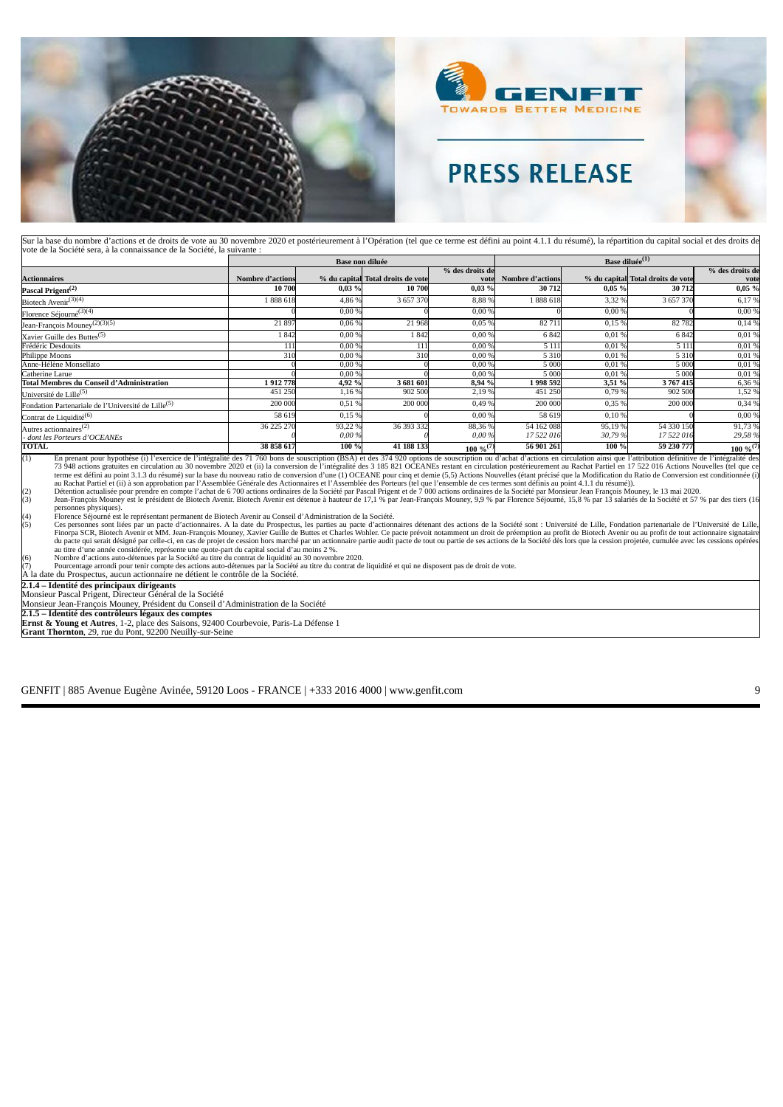![](_page_11_Picture_0.jpeg)

![](_page_11_Picture_1.jpeg)

Sur la base du nombre d'actions et de droits de vote au 30 novembre 2020 et postérieurement à l'Opération (tel que ce terme est défini au point 4.1.1 du résumé), la répartition du capital social et des droits de vote de la Société sera, à la connaissance de la Société, la suivante :

|                                                                                                                                                                                                                                | <b>Base non diluée</b>  |         |                                   | Base diluée <sup>(1)</sup> |                         |         |                                   |                      |
|--------------------------------------------------------------------------------------------------------------------------------------------------------------------------------------------------------------------------------|-------------------------|---------|-----------------------------------|----------------------------|-------------------------|---------|-----------------------------------|----------------------|
|                                                                                                                                                                                                                                | <b>Nombre d'actions</b> |         | % du capital Total droits de vote | % des droits de            | <b>Nombre d'actions</b> |         | % du capital Total droits de vote | % des droits de      |
| Actionnaires                                                                                                                                                                                                                   | 10 700                  |         | 10 700                            | vote                       |                         |         |                                   | vote                 |
| Pascal Prigent <sup>(2)</sup>                                                                                                                                                                                                  |                         | 0,03%   |                                   | 0,03%                      | 30 712                  | 0,05%   | 30 712                            | 0,05%                |
| Biotech Avenir <sup>(3)(4)</sup>                                                                                                                                                                                               | L 888 618               | 4,86 %  | 3657370                           | 8,88 %                     | 1888618                 | 3,32 %  | 3657370                           | 6,17%                |
| Florence Séjourné <sup>(3)(4)</sup>                                                                                                                                                                                            |                         | 0,00%   |                                   | 0,00%                      |                         | 0,00%   |                                   | 0,00%                |
| Jean-François Mouney <sup>(2)(3)(5)</sup>                                                                                                                                                                                      | 21897                   | 0,06 %  | 21968                             | 0,05 %                     | 82 711                  | 0,15%   | 82 782                            | 0,14%                |
| Xavier Guille des Buttes <sup>(5)</sup>                                                                                                                                                                                        | 1842                    | 0,00%   | 1842                              | 0,00%                      | 6842                    | 0,01%   | 6842                              | 0,01%                |
| Frédéric Desdouits                                                                                                                                                                                                             | 111                     | 0,00%   | 111                               | 0,00 %                     | 5 1 1 1                 | 0,01%   | 5 1 1                             | 0,01%                |
| Philippe Moons                                                                                                                                                                                                                 | 310                     | 0,00%   | 310                               | 0,00 %                     | 5 3 1 0                 | 0,01%   | 5 3 1                             | 0,01%                |
| Anne-Hélène Monsellato                                                                                                                                                                                                         |                         | 0,00%   |                                   | 0,00%                      | 5 0 0 0                 | 0,01%   | 5 0 0 0                           | 0,01%                |
| Catherine Larue                                                                                                                                                                                                                |                         | 0,00%   |                                   | 0.00%                      | 5 0 0 0                 | 0,01%   | 5 0 0 0                           | 0,01%                |
| Total Membres du Conseil d'Administration                                                                                                                                                                                      | 1912778                 | 4,92 %  | 3681601                           | 8,94 %                     | 1998 592                | 3,51 %  | 3767415                           | 6,36 %               |
| Université de Lille <sup>(5)</sup>                                                                                                                                                                                             | 451 250                 | 1,16%   | 902 500                           | 2,19%                      | 451 250                 | 0,79%   | 902 500                           | 1,52 %               |
| Fondation Partenariale de l'Université de Lille <sup>(5)</sup>                                                                                                                                                                 | 200 000                 | 0,51 %  | 200 000                           | 0,49%                      | 200 000                 | 0,35 %  | 200 000                           | 0,34 %               |
| Contrat de Liquidité <sup>(6)</sup>                                                                                                                                                                                            | 58 619                  | 0,15 %  |                                   | 0,00%                      | 58 619                  | 0,10%   |                                   | 0,00 %               |
| Autres actionnaires <sup>(2)</sup>                                                                                                                                                                                             | 36 225 270              | 93,22 % | 36 393 332                        | 88,36 %                    | 54 162 088              | 95,19%  | 54 330 150                        | 91,73%               |
| - dont les Porteurs d'OCEANEs                                                                                                                                                                                                  |                         | 0,00%   |                                   | 0,00 %                     | 17 522 016              | 30,79 % | 17 522 016                        | 29,58%               |
| <b>TOTAL</b>                                                                                                                                                                                                                   | 38 858 617              | 100 %   | 41 188 133                        | $100 \%$ <sup>(7)</sup>    | 56 901 261              | 100 %   | 59 230 777                        | 100 % <sup>(7)</sup> |
| and the state of the state of the state of the contract of the state of the state of the state of the state of the state of the state of the state of the state of the state of the state of the state of the state of the sta |                         |         |                                   |                            |                         |         |                                   |                      |

**TOTAL**<br>
TOD %(7)<br>
Top memant pour hypothèse (i) l'exercice de l'intégralité des 71 760 bons de souscription (19 %) et des 3785 8617<br>
Top 100 %(7)<br>
Top sections and a content in the section and 30 novembre 2020 et (ii) la

personnes physiques).<br>
(4) Core personnes est le représentant permanent de Biotech Avenir au Conseil d'Administration de la Société.<br>
(5) Ces personnes sont liées par un pacte d'actionnaires. A la date du Prospectus, les p

A la date du Prospectus, aucun actionnaire ne détient le contrôle de la Société.

**2.1.4 – Identité des principaux dirigeants** Monsieur Pascal Prigent, Directeur Général de la Société

Monsieur Jean-François Mouney, Président du Conseil d'Administration de la Société

2.1.5 – Identité des contrôleurs légaux des comptes<br>Ernst & Young et Autres, 1-2, place des Saisons, 92400 Courbevoie, Paris-La Défense 1<br>**Grant Thornton,** 29, rue du Pont, 92200 Neuilly-sur-Seine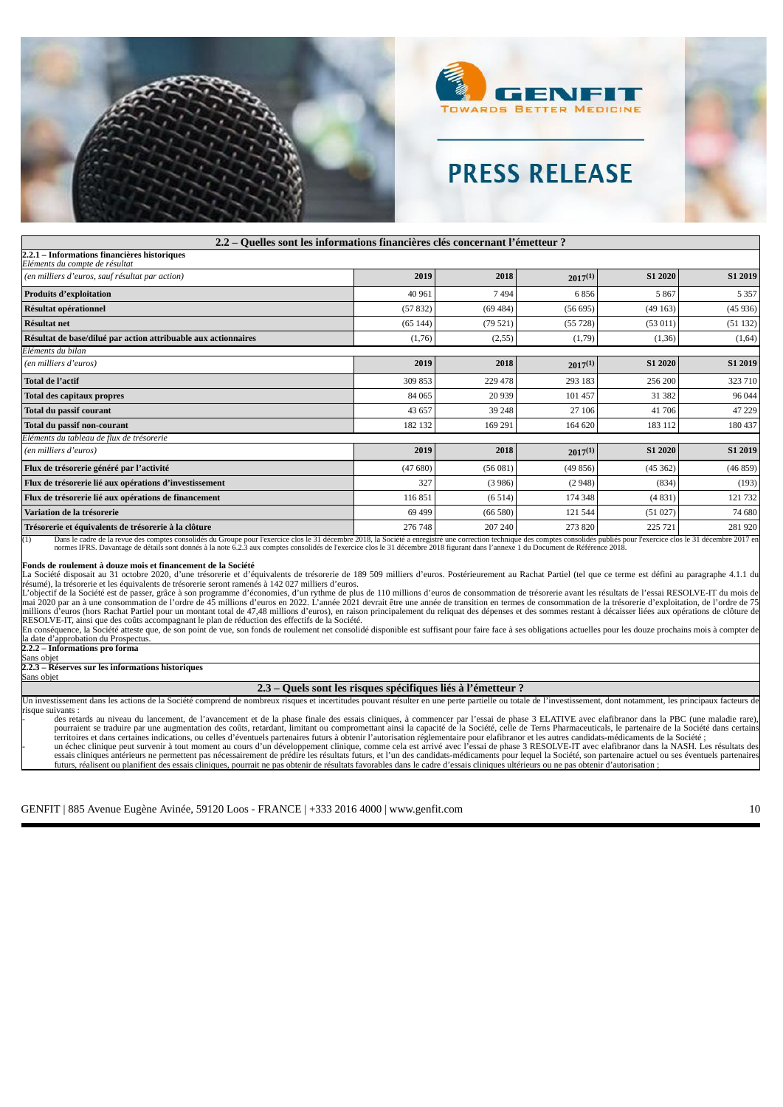![](_page_12_Picture_0.jpeg)

![](_page_12_Picture_1.jpeg)

| 2.2 – Quelles sont les informations financières clés concernant l'émetteur ?   |         |           |              |         |         |  |
|--------------------------------------------------------------------------------|---------|-----------|--------------|---------|---------|--|
| 2.2.1 - Informations financières historiques<br>Eléments du compte de résultat |         |           |              |         |         |  |
| (en milliers d'euros, sauf résultat par action)                                | 2019    | 2018      | $2017^{(1)}$ | S1 2020 | S1 2019 |  |
| <b>Produits d'exploitation</b>                                                 | 40 961  | 7494      | 6856         | 5867    | 5 3 5 7 |  |
| Résultat opérationnel                                                          | (57832) | (69, 484) | (56695)      | (49163) | (45936) |  |
| <b>Résultat net</b>                                                            | (65144) | (79521)   | (55728)      | (53011) | (51132) |  |
| Résultat de base/dilué par action attribuable aux actionnaires                 | (1,76)  | (2, 55)   | (1,79)       | (1,36)  | (1,64)  |  |
| Eléments du bilan                                                              |         |           |              |         |         |  |
| (en milliers d'euros)                                                          | 2019    | 2018      | $2017^{(1)}$ | S1 2020 | S1 2019 |  |
| Total de l'actif                                                               | 309 853 | 229 478   | 293 183      | 256 200 | 323 710 |  |
| Total des capitaux propres                                                     | 84 065  | 20 9 39   | 101 457      | 31 382  | 96 044  |  |
| Total du passif courant                                                        | 43 657  | 39 248    | 27 10 6      | 41 70 6 | 47 229  |  |
| Total du passif non-courant                                                    | 182 132 | 169 291   | 164 620      | 183 112 | 180 437 |  |
| Eléments du tableau de flux de trésorerie                                      |         |           |              |         |         |  |
| (en milliers d'euros)                                                          | 2019    | 2018      | $2017^{(1)}$ | S1 2020 | S1 2019 |  |
| Flux de trésorerie généré par l'activité                                       | (47680) | (56081)   | (49856)      | (45362) | (46859) |  |
| Flux de trésorerie lié aux opérations d'investissement                         | 327     | (3986)    | (2948)       | (834)   | (193)   |  |
| Flux de trésorerie lié aux opérations de financement                           | 116851  | (6514)    | 174 348      | (4831)  | 121 732 |  |
| Variation de la trésorerie                                                     | 69 499  | (66580)   | 121 544      | (51027) | 74 680  |  |
| Trésorerie et équivalents de trésorerie à la clôture                           | 276 748 | 207 240   | 273 820      | 225 721 | 281 920 |  |
|                                                                                |         |           |              |         |         |  |

(1) Dans le cadre de la revue des comptes consolidés du Groupe pour l'exercice clos le 31 décembre 2018, la Société a enregistré une correction technique des comptes consolidés publiés pour l'exercice clos le 31 décembre 2

#### **Fonds de roulement à douze mois et financement de la Société**

La Société disposait au 31 octobre 2020, d'une trésorerie et d'équivalents de trésorerie de 189 509 milliers d'euros. Postérieurement au Rachat Partiel (tel que ce terme est défini au paragraphe 4.1.1 du<br>résumé), la trésor

L'objectif de la Société est de passer, grâce à son programme d'économies, d'un rythme de plus de 110 millions d'euros de consommation de trésorerie avant les résultats de l'essai RESOLVE-IT du mois de<br>mai 2020 par an à un millions d'euros (hors Rachat Partiel pour un montant total de 47,48 millions d'euros), en raison principalement du reliquat des dépenses et des sommes restant à décaisser liées aux opérations de clôture de l'above de l'ab

En conséquence, la Société atteste que, de son point de vue, son fonds de roulement net consolidé disponible est suffisant pour faire face à ses obligations actuelles pour les douze prochains mois à compter de la date d'approbation du Prospectus.

**2.2.2 – Informations pro forma** .<br>Sans objet

**2.2.3 – Réserves sur les informations historiques** Sans objet

### **2.3 – Quels sont les risques spécifiques liés à l'émetteur ?**

Un investissement dans les actions de la Société comprend de nombreux risques et incertitudes pouvant résulter en une perte partielle ou totale de l'investissement, dont notamment, les principaux facteurs de risque suivants :

des retards au niveau du lancement, de l'avancement et de la phase finale des essais cliniques, à commencer par l'essai de phase 3 ELATIVE avec elafibranor dans la PBC (une maladie rare) pourraient se traduire par une augmentation des coûts, retardant, limitant ou compromettant ainsi la capacité de la Société, celle de Terns Pharmaceuticals, le partenaire de la Société dans certains (entritoires et dans co essais cliniques antérieurs ne permettent pas nécessairement de prédire les résultats futurs, et l'un des candidats-médicaments pour lequel la Société, son partenaire actuel ou ses éventuels partenaires futurs, réalisent ou planifient des essais cliniques, pourrait ne pas obtenir de résultats favorables dans le cadre d'essais cliniques ultérieurs ou ne pas obtenir d'autorisation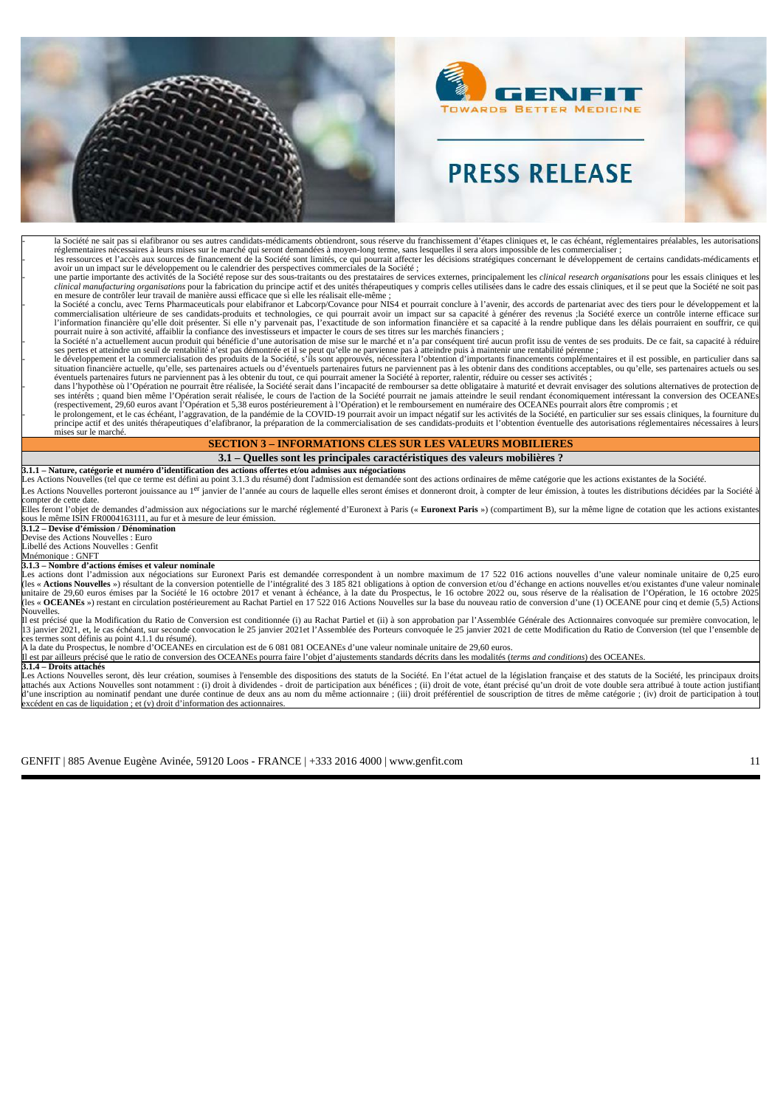![](_page_13_Picture_0.jpeg)

![](_page_13_Picture_1.jpeg)

la Société ne sait pas si elafibranor ou ses autres candidats-médicaments obtiendront, sous réserve du franchissement d'étapes cliniques et, le cas échéant, réglementaires préalables, les autorisations réglementaires préal réglementaires nécessaires à leurs mises sur le marché qui seront demandées à moyen-long terme, sans lesquelles il sera alors impossible de les commercialiser ;

les ressources et l'accès aux sources de financement de la Société sont limités, ce qui pourrait affecter les décisions stratégiques concernant le développement de certains candidats-médicaments et avoir un un impact sur l *clinical manufacturing organisations* pour la fabrication du principe actif et des unités thérapeutiques y compris celles utilisées dans le cadre des essais cliniques, et il se peut que la Société ne soit pas<br>en mesure de

la Société a conclu, avec Terns Pharmaceuticals pour elabifranor et Labcorp/Covance pour NIS4 et pourrait conclure à l'avenir, des accords de partenariat avec des tiers pour le développement et la<br>commercialisation ultérie

l'information financière qu'elle doit présenter. Si elle n'y parvenait pas, l'exactitude de son information financière et sa capacité à la rendre publique dans les délais pourraient en souffrir, ce qui<br>pourrait nuire à son

le développement et la commercialisation des produits de la Société, s'ils sont approuvés, nécessitera l'obtention d'importants financements complémentaires et il est possible, en particulier dans sa والقدم situation finan éventuels partenaires futurs ne parviennent pas à les obtenir du tout, ce qui pourrait amener la Société à reporter, ralentir, réduire ou cesser ses activités ;<br>dans l'hypothèse où l'Opération ne pourrait être réalisée, la

ses intérêts ; quand bien même l'Opération serait réalisée, le cours de l'action de la Société pourrait ne jamais atteindre le seuil rendant économiquement intéressant la conversion des OCEANEs<br>(respectivement, 29,60 euros

principe actif et des unités thérapeutiques d'elafibranor, la préparation de la commercialisation de ses candidats-produits et l'obtention éventuelle des autorisations réglementaires nécessaires à leurs mises sur le marché.

### **SECTION 3 – INFORMATIONS CLES SUR LES VALEURS MOBILIERES**

**3.1 – Quelles sont les principales caractéristiques des valeurs mobilières ? 3.1.1 – Nature, catégorie et numéro d'identification des actions offertes et/ou admises aux négociations**

Les Actions Nouvelles (tel que ce terme est défini au point 3.1.3 du résumé) dont l'admission est demandée sont des actions ordinaires de même catégorie que les actions existantes de la Société.

Les Actions Nouvelles porteront jouissance au 1<sup>er</sup> janvier de l'année au cours de laquelle elles seront émises et donneront droit, à compter de leur émission, à toutes les distributions décidées par la Société à compter de cette date.

Elles feront l'objet de demandes d'admission aux négociations sur le marché réglementé d'Euronext à Paris (« **Euronext Paris** ») (compartiment B), sur la même ligne de cotation que les actions existantes sous le même ISIN FR0004163111, au fur et à mesure de leur émission.

**3.1.2 – Devise d'émission / Dénomination** Devise des Actions Nouvelles : Euro

Libellé des Actions Nouvelles : Genfit

Mnémonique : GNFT

**3.1.3 – Nombre d'actions émises et valeur nominale**

Les actions dont l'admission aux négociations sur Euronext Paris est demandée correspondent à un nombre maximum de 17 522 016 actions nouvelles d'une valeur nominale unitaire de 0,25 euro<br>(les « **Actions Nouvelles** ») résu unitaire de 29,60 euros émises par la Société le 16 octobre 2017 et venant à échéance, à la date du Prospectus, le 16 octobre 2022 ou, sous réserve de la réalisation de l'Opération, le 16 octobre 2025<br>(les « **OCEANEs** ») r Nouvelles.

.<br>Il est précisé que la Modification du Ratio de Conversion est conditionnée (i) au Rachat Partiel et (ii) à son approbation par l'Assemblée Générale des Actionnaires convoquée sur première convocation, le 13 janvier 2021, et, le cas échéant, sur seconde convocation le 25 janvier 2021et l'Assemblée des Porteurs convoquée le 25 janvier 2021 de cette Modification du Ratio de Conversion (tel que l'ensemble de<br>ces termes sont dé

A la date du Prospectus, le nombre d'OCEANEs en circulation est de 6 081 081 OCEANEs d'une valeur nominale unitaire de 29,60 euros. Il est par ailleurs précisé que le ratio de conversion des OCEANEs pourra faire l'objet d'ajustements standards décrits dans les modalités (*terms and conditions*) des OCEANEs.

#### **3.1.4 – Droits attachés**

Les Actions Nouvelles seront, dès leur création, soumises à l'ensemble des dispositions des statuts de la Société. En l'état actuel de la législation française et des statuts de la Société, les principaux droits attachés aux Actions Nouvelles sont notamment : (i) droit à dividendes - droit de participation aux bénéfices ; (ii) droit de vote, étant précisé qu'un droit de vote double sera attribué à toute action justifiant<br>d'une ins excédent en cas de liquidation ; et (v) droit d'information des actionnaires.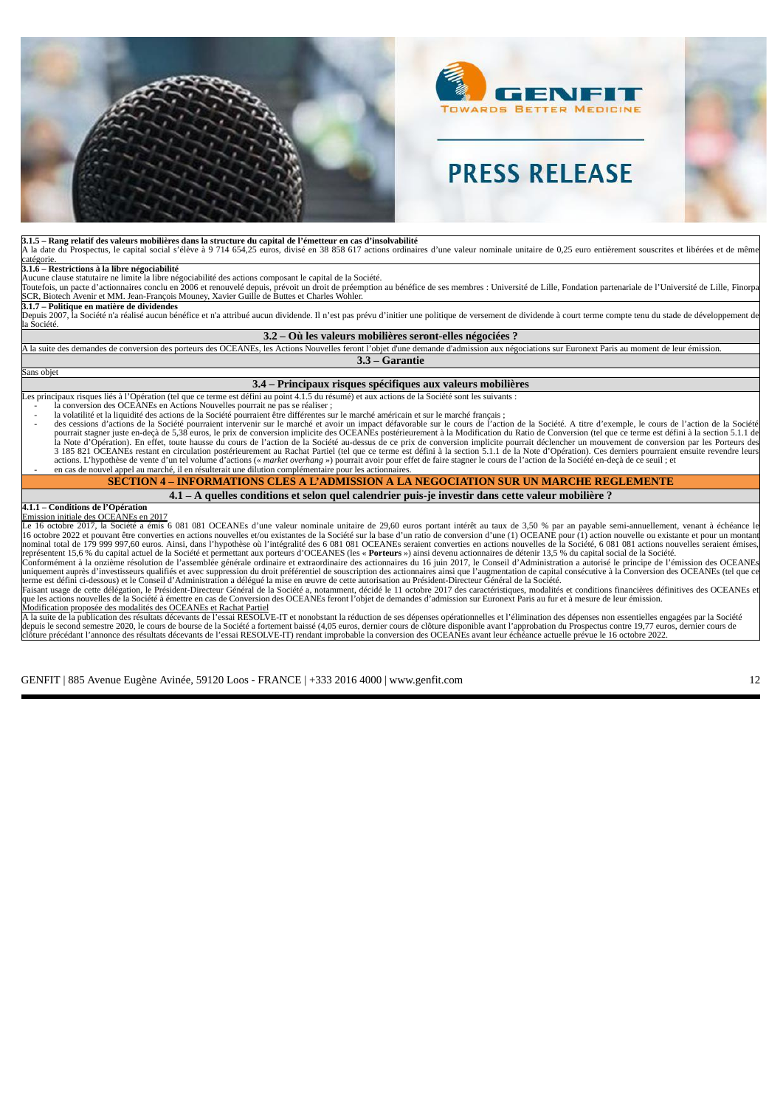![](_page_14_Picture_0.jpeg)

![](_page_14_Picture_1.jpeg)

.<br>3.1.5 – Rang relatif des valeurs mobilières dans la structure du capital de l'émetteur en cas d'insolvabilité

A la date du Prospectus, le capital social s'élève à 9 714 654,25 euros, divisé en 38 858 617 actions ordinaires d'une valeur nominale unitaire de 0,25 euro entièrement souscrites et libérées et de même catégorie.

#### **3.1.6 – Restrictions à la libre négociabilité**

Aucune clause statutaire ne limite la libre négociabilité des actions composant le capital de la Société.<br>Toutefois, un pacte d'actionnaires conclu en 2006 et renouvelé depuis, prévoit un droit de préemption au bénéfice de SCR, Biotech Avenir et MM. Jean-François Mouney, Xavier Guille de Buttes et Charles Wohler.

### **3.1.7 – Politique en matière de dividendes**

Depuis 2007, la Société n'a réalisé aucun bénéfice et n'a attribué aucun dividende. Il n'est pas prévu d'initier une politique de versement de dividende à court terme compte tenu du stade de développement de n Société

**3.2 – Où les valeurs mobilières seront-elles négociées ?** A la suite des demandes de conversion des porteurs des OCEANEs, les Actions Nouvelles feront l'objet d'une demande d'admission aux négociations sur Euronext Paris au moment de leur émission. **3.3 – Garantie** Sans objet

**3.4 – Principaux risques spécifiques aux valeurs mobilières**

Les principaux risques liés à l'Opération (tel que ce terme est défini au point 4.1.5 du résumé) et aux actions de la Société sont les suivants :

la conversion des OCEANEs en Actions Nouvelles pourrait ne pas se réaliser ;

- la volatilité et la liquidité des actions de la Société pourraient être différentes sur le marché américain et sur le marché français ;<br>- des cessions d'actions de la Société pourraient intervenir sur le marché et avoir la Note d'Opération). En effet, toute hausse du cours de l'action de la Société au-dessus de ce prix de conversion implicite pourrait déclencher un mouvement de conversion par les Porteurs des<br>3 185 821 OCEANEs restant en

**SECTION 4 – INFORMATIONS CLES A L'ADMISSION A LA NEGOCIATION SUR UN MARCHE REGLEMENTE**

**4.1 – A quelles conditions et selon quel calendrier puis-je investir dans cette valeur mobilière ?**

#### **4.1.1 – Conditions de l'Opération** Emission initiale des OCEANEs en 2017

Le 16 octobre 2017, la Société a émis 6 081 081 OCEANEs d'une valeur nominale unitaire de 29,60 euros portant intérêt au taux de 3,50 % par an payable semi-annuellement, venant à échéance le<br>16 octobre 2022 et pouvant être

Conformément à la onzième résolution de l'assemblée générale ordinaire et extraordinaire des actionnaires du 16 juin 2017, le Conseil d'Administration a autorisé le principe de l'émission des OCEANEs<br>uniquement auprès d'in

Faisant usage de cette délégation, le Président-Directeur Général de la Société a, notamment, décidé le 11 octobre 2017 des caractéristiques, modalités et conditions financières définitives des OCEANEs et que les actions nouvelles de la Société à émettre en cas de Conversion des OCEANEs feront l'objet de demandes d'admission sur Euronext Paris au fur et à mesure de leur émission.

Modification proposée des modalités des OCEANEs et Rachat Partiel<br>A la suite de la publication des résultats décevants de l'essai RESOLVE-IT et nonobstant la réduction de ses dépenses opérationnelles et l'élimination des d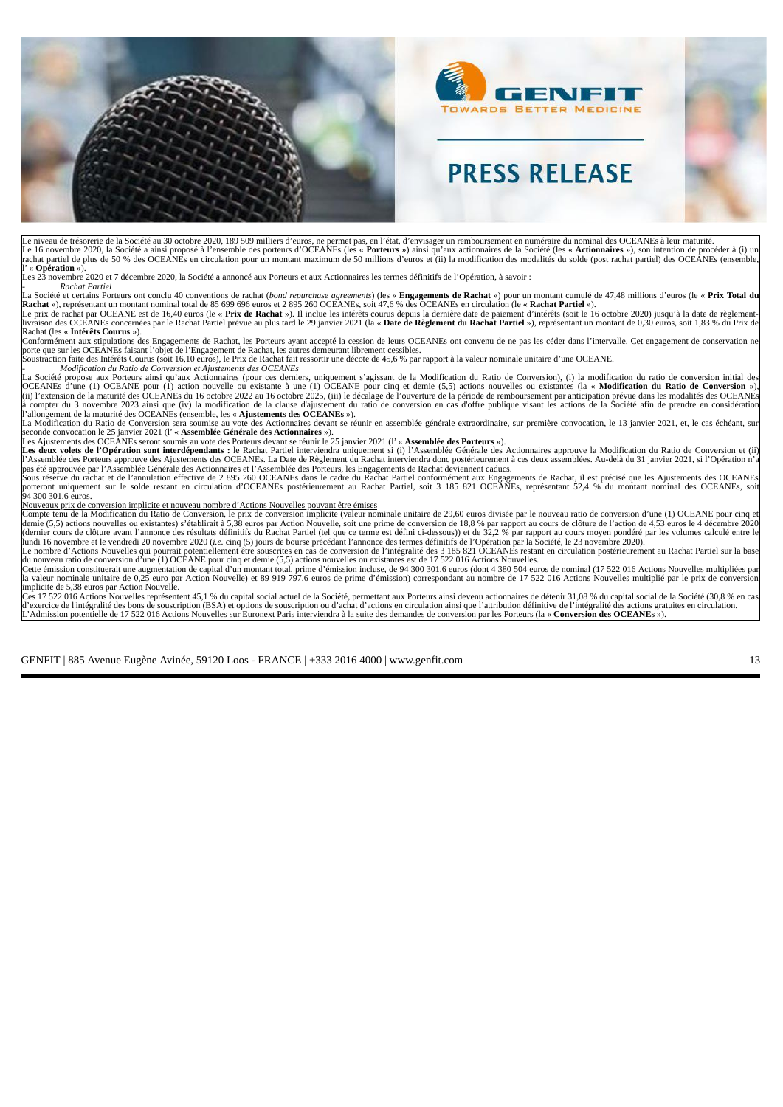![](_page_15_Picture_0.jpeg)

![](_page_15_Picture_1.jpeg)

Le niveau de trésorerie de la Société au 30 octobre 2020, 189 509 milliers d'euros, ne permet pas, en l'état, d'envisager un remboursement en numéraire du nominal des OCEANEs à leur maturité. Le 16 novembre 2020, la Société a ainsi proposé à l'ensemble des porteurs d'OCEANEs (les « **Porteurs** ») ainsi qu'aux actionnaires de la Société (les « **Actionnaires** »), son intention de procéder à (i) un<br>rachat partiel d l' « **Opération** »).

Les 23 novembre 2020 et 7 décembre 2020, la Société a annoncé aux Porteurs et aux Actionnaires les termes définitifs de l'Opération, à savoir : - *Rachat Partiel*

La Société et certains Porteurs ont conclu 40 conventions de rachat (*bond repurchase agreements*) (les « **Engagements de Rachat** ») pour un montant cumulé de 47,48 millions d'euros (le « **Prix Total du**<br>Rac**hat »**), repré

livraison des OCEANEs concernées par le Rachat Partiel prévue au plus tard le 29 janvier 2021 (la « **Date de Règlement du Rachat Partiel** »), représentant un montant de 0,30 euros, soit 1,83 % du Prix de Rachat (les « **Intérêts Courus** »).

Conformément aux stipulations des Engagements de Rachat, les Porteurs ayant accepté la cession de leurs OCEANEs ont convenu de ne pas les céder dans l'intervalle. Cet engagement de conservation ne<br>porte que sur les OCEANEs Soustraction faite des Intérêts Courus (soit 16,10 euros), le Prix de Rachat fait ressortir une décote de 45,6 % par rapport à la valeur nominale unitaire d'une OCEANE.

- *Modification du Ratio de Conversion et Ajustements des OCEANEs*

La Société propose aux Porteurs ainsi qu'aux Actionnaires (pour ces derniers, uniquement s'agissant de la Modification du Ratio de Conversion), (i) la modification du ratio de conversion initial des<br>OCEANEs d'une (1) OCEAN

La Modification du Ratio de Conversion sera soumise au vote des Actionnaires devant se réunir en assemblée générale extraordinaire, sur première convocation, le 13 janvier 2021, et, le cas échéant, sur seconde convocation

pas été approuvée par l'Assemblée Générale des Actionnaires et l'Assemblée des Porteurs, les Engagements de Rachat deviennent caducs.

Sous réserve du rachat et de l'annulation effective de 2 895 260 OCEANEs dans le cadre du Rachat Partiel conformément aux Engagements de Rachat, il est précisé que les Ajustements des OCEANEs<br>porteront uniquement sur le so  $94.300.3016$  euros.

Nouveaux prix de conversion implicite et nouveau nombre d'Actions Nouvelles pouvant être émises

Compte tenu de la Modification du Ratio de Conversion, le prix de conversion implicite (valeur nominale unitaire de 29,60 euros divisée par le nouveau ratio de conversion d'une (1) OCEANE pour cinq et<br>dernier cours de clôt

lundi 16 novembre et le vendredi 20 novembre 2020 (i.e. cinq (5) jours de bourse précédant l'annonce des termes définitifs de l'Opération par la Société, le 23 novembre 2020).<br>Le nombre d'Actions Nouvelles qui pourrait pot

la valeur nominale unitaire de 0,25 euro par Action Nouvelle) et 89 919 797,6 euros de prime d'émission) correspondant au nombre de 17 522 016 Actions Nouvelles multiplié par le prix de conversion implicite de 5,38 euros p

Ces 17 522 016 Actions Nouvelles représentent 45,1 % du capital social actuel de la Société, permettant aux Porteurs ainsi devenu actionnaires de détenir 31,08 % du capital social de la Société (30,8 % en cas<br>d'exercice de L'Admission potentielle de 17 522 016 Actions Nouvelles sur Euronext Paris interviendra à la suite des demandes de conversion par les Porteurs (la « **Conversion des OCEANEs** »).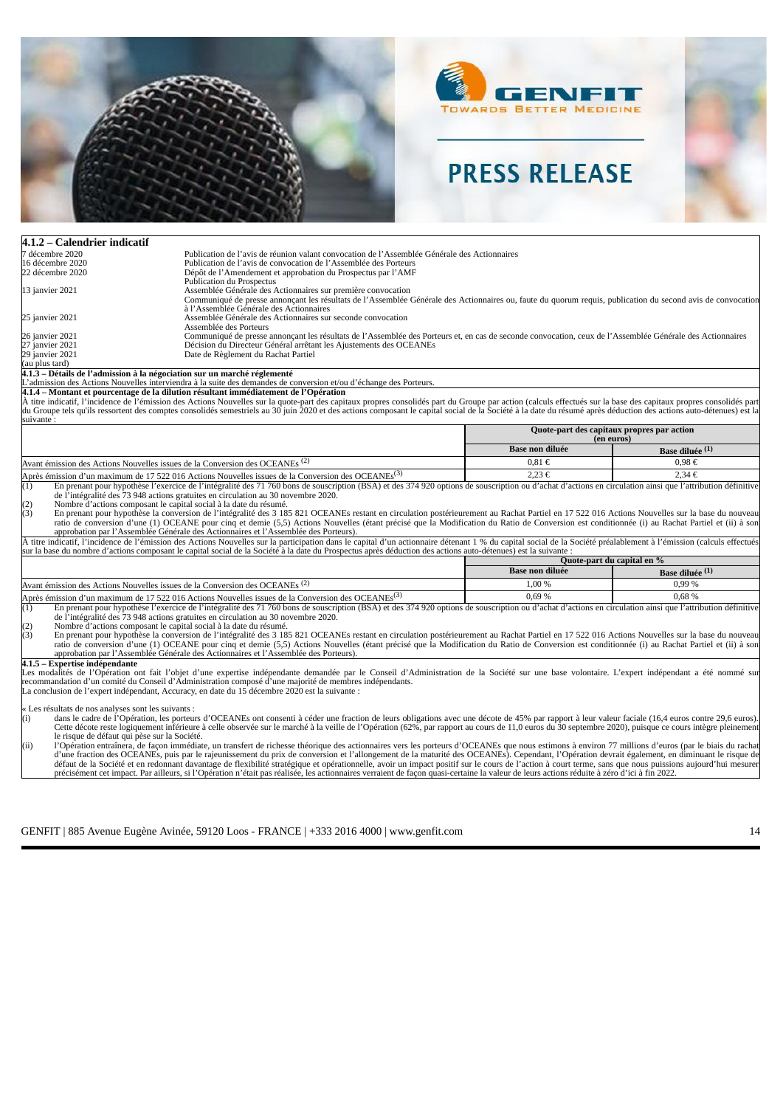![](_page_16_Picture_0.jpeg)

![](_page_16_Picture_1.jpeg)

| 4.1.2 – Calendrier indicatif                                                                                       |                                                                                                                                                                                                                                                                                                                                                                                                                                                                                                                                                                                                                                                                                                                                                                                                                                                                |                                                                                                                                                             |                                            |  |  |  |  |
|--------------------------------------------------------------------------------------------------------------------|----------------------------------------------------------------------------------------------------------------------------------------------------------------------------------------------------------------------------------------------------------------------------------------------------------------------------------------------------------------------------------------------------------------------------------------------------------------------------------------------------------------------------------------------------------------------------------------------------------------------------------------------------------------------------------------------------------------------------------------------------------------------------------------------------------------------------------------------------------------|-------------------------------------------------------------------------------------------------------------------------------------------------------------|--------------------------------------------|--|--|--|--|
| 7 décembre 2020                                                                                                    | Publication de l'avis de réunion valant convocation de l'Assemblée Générale des Actionnaires                                                                                                                                                                                                                                                                                                                                                                                                                                                                                                                                                                                                                                                                                                                                                                   |                                                                                                                                                             |                                            |  |  |  |  |
| 16 décembre 2020                                                                                                   | Publication de l'avis de convocation de l'Assemblée des Porteurs                                                                                                                                                                                                                                                                                                                                                                                                                                                                                                                                                                                                                                                                                                                                                                                               |                                                                                                                                                             |                                            |  |  |  |  |
| 22 décembre 2020                                                                                                   | Dépôt de l'Amendement et approbation du Prospectus par l'AMF<br>Publication du Prospectus                                                                                                                                                                                                                                                                                                                                                                                                                                                                                                                                                                                                                                                                                                                                                                      |                                                                                                                                                             |                                            |  |  |  |  |
| 13 janvier 2021                                                                                                    | Assemblée Générale des Actionnaires sur première convocation                                                                                                                                                                                                                                                                                                                                                                                                                                                                                                                                                                                                                                                                                                                                                                                                   | Communiqué de presse annonçant les résultats de l'Assemblée Générale des Actionnaires ou, faute du quorum requis, publication du second avis de convocation |                                            |  |  |  |  |
| 25 janvier 2021                                                                                                    | Assemblée Générale des Actionnaires sur seconde convocation<br>Assemblée des Porteurs                                                                                                                                                                                                                                                                                                                                                                                                                                                                                                                                                                                                                                                                                                                                                                          | à l'Assemblée Générale des Actionnaires                                                                                                                     |                                            |  |  |  |  |
| 26 janvier 2021                                                                                                    |                                                                                                                                                                                                                                                                                                                                                                                                                                                                                                                                                                                                                                                                                                                                                                                                                                                                | Communiqué de presse annonçant les résultats de l'Assemblée des Porteurs et, en cas de seconde convocation, ceux de l'Assemblée Générale des Actionnaires   |                                            |  |  |  |  |
| 27 janvier 2021                                                                                                    | Décision du Directeur Général arrêtant les Ajustements des OCEANEs                                                                                                                                                                                                                                                                                                                                                                                                                                                                                                                                                                                                                                                                                                                                                                                             |                                                                                                                                                             |                                            |  |  |  |  |
| 29 janvier 2021                                                                                                    | Date de Règlement du Rachat Partiel                                                                                                                                                                                                                                                                                                                                                                                                                                                                                                                                                                                                                                                                                                                                                                                                                            |                                                                                                                                                             |                                            |  |  |  |  |
| (au plus tard)                                                                                                     |                                                                                                                                                                                                                                                                                                                                                                                                                                                                                                                                                                                                                                                                                                                                                                                                                                                                |                                                                                                                                                             |                                            |  |  |  |  |
|                                                                                                                    | 4.1.3 – Détails de l'admission à la négociation sur un marché réglementé                                                                                                                                                                                                                                                                                                                                                                                                                                                                                                                                                                                                                                                                                                                                                                                       |                                                                                                                                                             |                                            |  |  |  |  |
|                                                                                                                    | Zadmission des Actions Nouvelles interviendra à la suite des demandes de conversion et/ou d'échange des Porteurs.<br>4.1.4 – Montant et pourcentage de la dilution résultant immédiatement de l'Opération                                                                                                                                                                                                                                                                                                                                                                                                                                                                                                                                                                                                                                                      |                                                                                                                                                             |                                            |  |  |  |  |
| suivante:                                                                                                          | À titre indicatif, l'incidence de l'émission des Actions Nouvelles sur la quote-part des capitaux propres consolidés part du Groupe par action (calculs effectués sur la base des capitaux propres consolidés part<br>du Groupe tels qu'ils ressortent des comptes consolidés semestriels au 30 juin 2020 et des actions composant le capital social de la Société à la date du résumé après déduction des actions auto-détenues) est la                                                                                                                                                                                                                                                                                                                                                                                                                       |                                                                                                                                                             | Quote-part des capitaux propres par action |  |  |  |  |
|                                                                                                                    |                                                                                                                                                                                                                                                                                                                                                                                                                                                                                                                                                                                                                                                                                                                                                                                                                                                                | <b>Base non diluée</b>                                                                                                                                      | (en euros)<br>Base diluée <sup>(1)</sup>   |  |  |  |  |
|                                                                                                                    | Avant émission des Actions Nouvelles issues de la Conversion des OCEANEs <sup>(2)</sup>                                                                                                                                                                                                                                                                                                                                                                                                                                                                                                                                                                                                                                                                                                                                                                        | $0.81 \in$                                                                                                                                                  | 0,98€                                      |  |  |  |  |
|                                                                                                                    | Après émission d'un maximum de 17 522 016 Actions Nouvelles issues de la Conversion des OCEANEs <sup>(3)</sup>                                                                                                                                                                                                                                                                                                                                                                                                                                                                                                                                                                                                                                                                                                                                                 | 2.23€                                                                                                                                                       | 2.34€                                      |  |  |  |  |
| (2)<br>(3)                                                                                                         | Nombre d'actions composant le capital social à la date du résumé.<br>En prenant pour hypothèse la conversion de l'intégralité des 3 185 821 OCEANEs restant en circulation postérieurement au Rachat Partiel en 17 522 016 Actions Nouvelles sur la base du nouveau<br>ratio de conversion d'une (1) OCEANE pour cinq et demie (5,5) Actions Nouvelles (étant précisé que la Modification du Ratio de Conversion est conditionnée (i) au Rachat Partiel et (ii) à son<br>approbation par l'Assemblée Générale des Actionnaires et l'Assemblée des Porteurs).<br>À titre indicatif, l'incidence de l'émission des Actions Nouvelles sur la participation dans le capital d'un actionnaire détenant 1 % du capital social de la Société préalablement à l'émission (calculs effectués                                                                            |                                                                                                                                                             |                                            |  |  |  |  |
|                                                                                                                    | sur la base du nombre d'actions composant le capital social de la Société à la date du Prospectus après déduction des actions auto-détenues) est la suivante :                                                                                                                                                                                                                                                                                                                                                                                                                                                                                                                                                                                                                                                                                                 |                                                                                                                                                             |                                            |  |  |  |  |
|                                                                                                                    |                                                                                                                                                                                                                                                                                                                                                                                                                                                                                                                                                                                                                                                                                                                                                                                                                                                                |                                                                                                                                                             | Quote-part du capital en %                 |  |  |  |  |
|                                                                                                                    |                                                                                                                                                                                                                                                                                                                                                                                                                                                                                                                                                                                                                                                                                                                                                                                                                                                                | <b>Base non diluée</b>                                                                                                                                      | Base diluée <sup>(1)</sup>                 |  |  |  |  |
|                                                                                                                    | Avant émission des Actions Nouvelles issues de la Conversion des OCEANEs <sup>(2)</sup>                                                                                                                                                                                                                                                                                                                                                                                                                                                                                                                                                                                                                                                                                                                                                                        | 1,00 %                                                                                                                                                      | 0,99%                                      |  |  |  |  |
|                                                                                                                    | Après émission d'un maximum de 17 522 016 Actions Nouvelles issues de la Conversion des OCEANEs <sup>(3)</sup>                                                                                                                                                                                                                                                                                                                                                                                                                                                                                                                                                                                                                                                                                                                                                 | 0.69%                                                                                                                                                       | 0.68%                                      |  |  |  |  |
| (1)<br>$\binom{2}{3}$                                                                                              | En prenant pour hypothèse l'exercice de l'intégralité des 71 760 bons de souscription (BSA) et des 374 920 options de souscription ou d'achat d'actions en circulation ainsi que l'attribution définitive<br>de l'intégralité des 73 948 actions gratuites en circulation au 30 novembre 2020.<br>Nombre d'actions composant le capital social à la date du résumé.<br>En prenant pour hypothèse la conversion de l'intégralité des 3 185 821 OCEANEs restant en circulation postérieurement au Rachat Partiel en 17 522 016 Actions Nouvelles sur la base du nouveau<br>ratio de conversion d'une (1) OCEANE pour cinq et demie (5,5) Actions Nouvelles (étant précisé que la Modification du Ratio de Conversion est conditionnée (i) au Rachat Partiel et (ii) à son<br>approbation par l'Assemblée Générale des Actionnaires et l'Assemblée des Porteurs). |                                                                                                                                                             |                                            |  |  |  |  |
| 4.1.5 - Expertise indépendante                                                                                     | Les modalités de l'Opération ont fait l'objet d'une expertise indépendante demandée par le Conseil d'Administration de la Société sur une base volontaire. L'expert indépendant a été nommé sur<br>recommandation d'un comité du Conseil d'Administration composé d'une majorité de membres indépendants.<br>: La conclusion de l'expert indépendant, Accuracy, en date du 15 décembre 2020 est la suivante                                                                                                                                                                                                                                                                                                                                                                                                                                                    |                                                                                                                                                             |                                            |  |  |  |  |
| « Les résultats de nos analyses sont les suivants :<br>(i)<br>le risque de défaut qui pèse sur la Société.<br>(ii) | dans le cadre de l'Opération, les porteurs d'OCEANEs ont consenti à céder une fraction de leurs obligations avec une décote de 45% par rapport à leur valeur faciale (16,4 euros contre 29,6 euros).<br>Cette décote reste logiquement inférieure à celle observée sur le marché à la veille de l'Opération (62%, par rapport au cours de 11,0 euros du 30 septembre 2020), puisque ce cours intègre pleinement<br>l'Opération entraînera, de façon immédiate, un transfert de richesse théorique des actionnaires vers les porteurs d'OCEANEs que nous estimons à environ 77 millions d'euros (par le biais du rachat<br>d'une fraction des OCEANEs, puis par le rejeunissement du prix de conversion et l'allengement de la maturité des OCEANEs). Conordant l'Opération derroit également, en diminuant le risque d                                         |                                                                                                                                                             |                                            |  |  |  |  |

l'Opération entraînera, de façon immédiate, un transfert de richesse théorique des actionnaires vers les porteurs d'OCEANEs que nous estimons à environ 77 millions d'euros (par le biais du rachat d'une fraction devrait éga